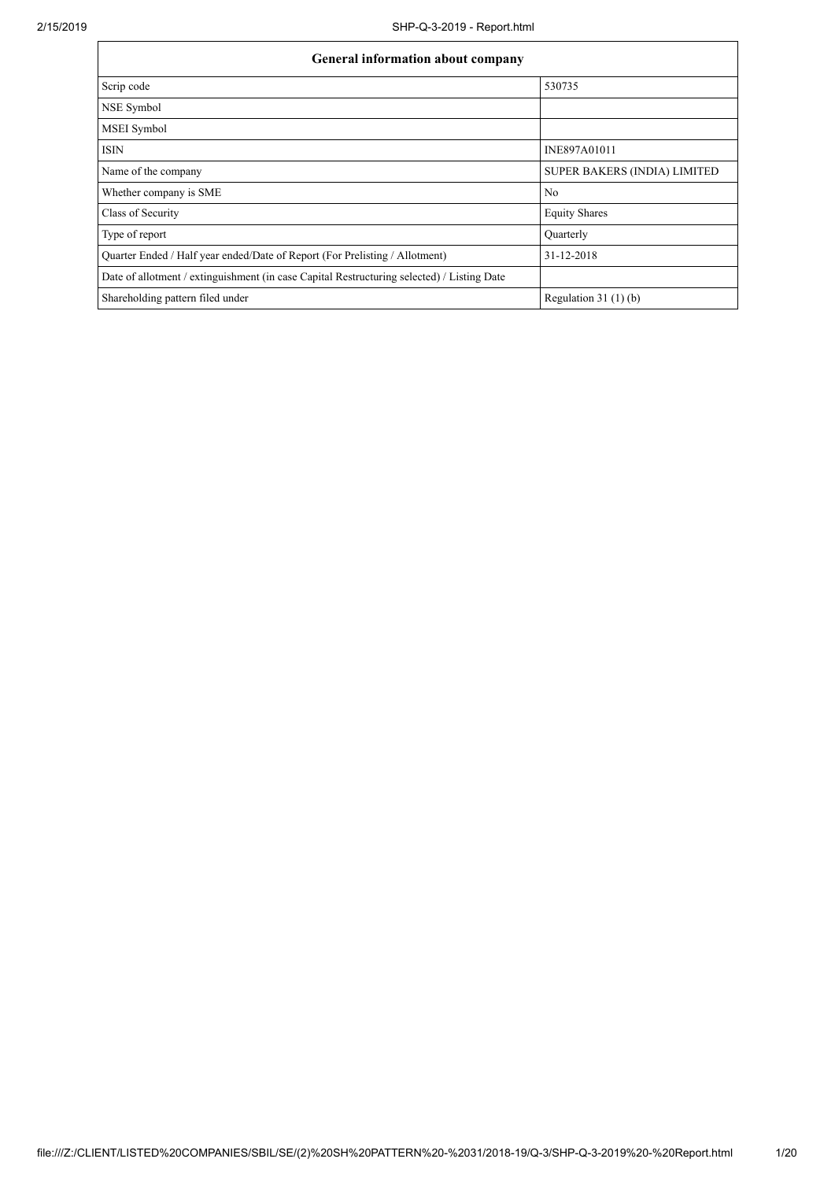| <b>General information about company</b>                                                   |                                     |  |  |  |  |  |
|--------------------------------------------------------------------------------------------|-------------------------------------|--|--|--|--|--|
| Scrip code                                                                                 | 530735                              |  |  |  |  |  |
| NSE Symbol                                                                                 |                                     |  |  |  |  |  |
| MSEI Symbol                                                                                |                                     |  |  |  |  |  |
| <b>ISIN</b>                                                                                | INE897A01011                        |  |  |  |  |  |
| Name of the company                                                                        | <b>SUPER BAKERS (INDIA) LIMITED</b> |  |  |  |  |  |
| Whether company is SME                                                                     | No                                  |  |  |  |  |  |
| Class of Security                                                                          | <b>Equity Shares</b>                |  |  |  |  |  |
| Type of report                                                                             | Quarterly                           |  |  |  |  |  |
| Quarter Ended / Half year ended/Date of Report (For Prelisting / Allotment)                | 31-12-2018                          |  |  |  |  |  |
| Date of allotment / extinguishment (in case Capital Restructuring selected) / Listing Date |                                     |  |  |  |  |  |
| Shareholding pattern filed under                                                           | Regulation $31(1)(b)$               |  |  |  |  |  |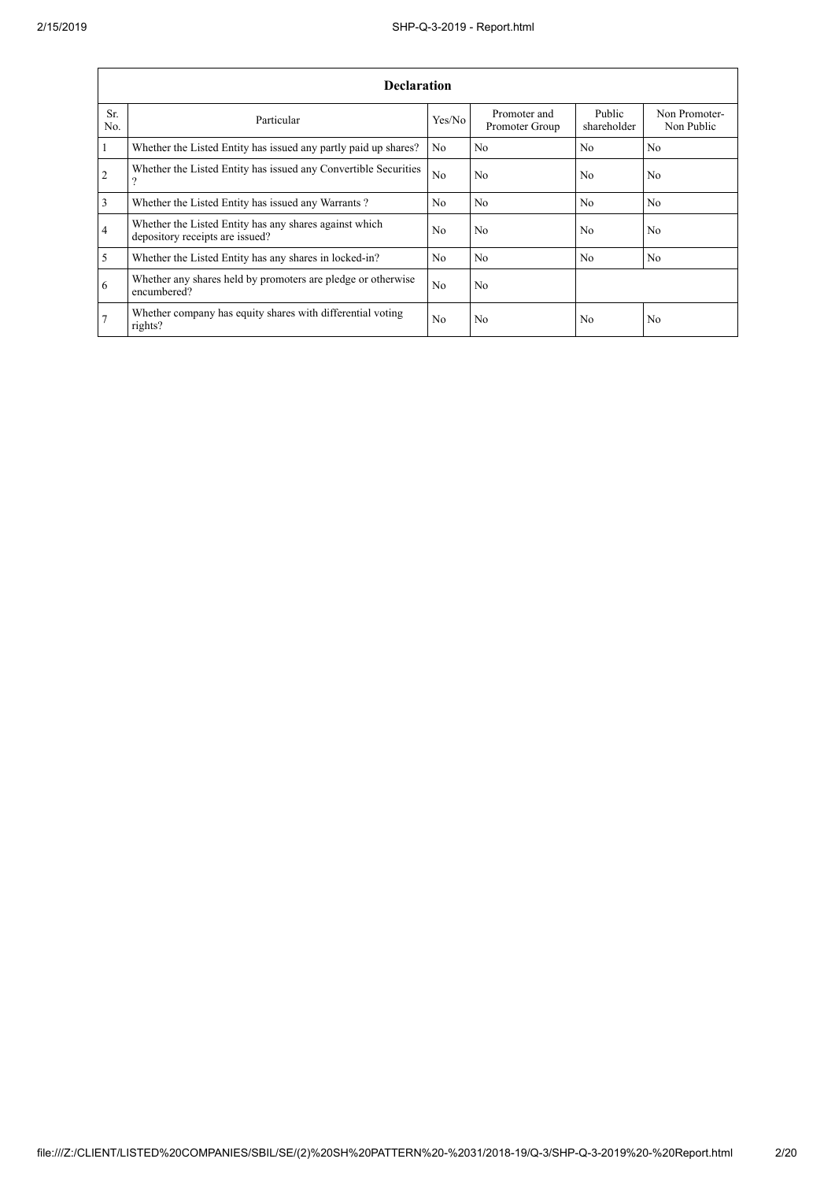|                | <b>Declaration</b>                                                                          |                |                                |                       |                             |  |  |  |  |
|----------------|---------------------------------------------------------------------------------------------|----------------|--------------------------------|-----------------------|-----------------------------|--|--|--|--|
| Sr.<br>No.     | Particular                                                                                  | Yes/No         | Promoter and<br>Promoter Group | Public<br>shareholder | Non Promoter-<br>Non Public |  |  |  |  |
| $\vert$ 1      | Whether the Listed Entity has issued any partly paid up shares?                             | N <sub>0</sub> | N <sub>0</sub>                 | N <sub>0</sub>        | N <sub>0</sub>              |  |  |  |  |
| $\overline{2}$ | Whether the Listed Entity has issued any Convertible Securities<br>$\overline{\mathcal{L}}$ | N <sub>o</sub> | N <sub>0</sub>                 | N <sub>0</sub>        | N <sub>0</sub>              |  |  |  |  |
| $\overline{3}$ | Whether the Listed Entity has issued any Warrants?                                          | N <sub>0</sub> | N <sub>0</sub>                 | No                    | N <sub>0</sub>              |  |  |  |  |
| $\overline{4}$ | Whether the Listed Entity has any shares against which<br>depository receipts are issued?   | No.            | No                             | N <sub>0</sub>        | No.                         |  |  |  |  |
| $\overline{5}$ | Whether the Listed Entity has any shares in locked-in?                                      | N <sub>0</sub> | No                             | N <sub>0</sub>        | N <sub>0</sub>              |  |  |  |  |
| 6              | Whether any shares held by promoters are pledge or otherwise<br>encumbered?                 | N <sub>o</sub> | No                             |                       |                             |  |  |  |  |
| 7              | Whether company has equity shares with differential voting<br>rights?                       | No             | No                             | N <sub>0</sub>        | No                          |  |  |  |  |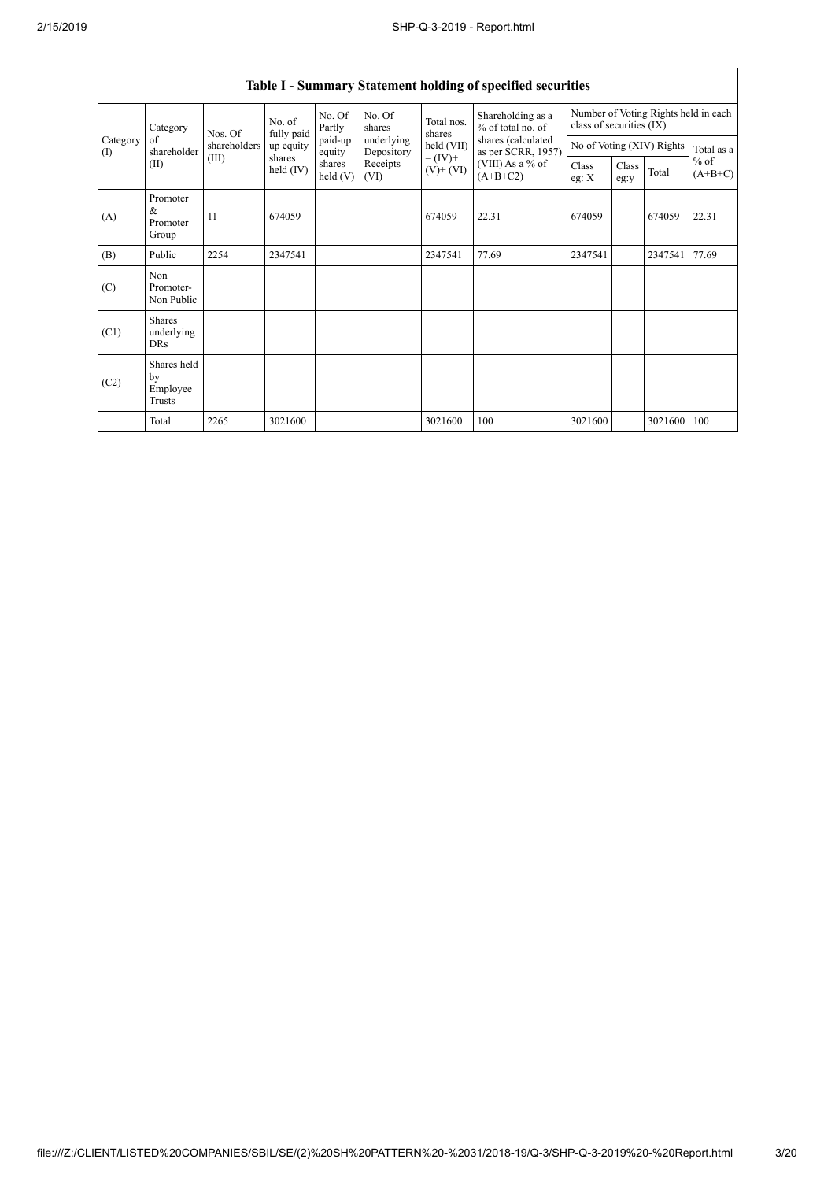|                                        | Table I - Summary Statement holding of specified securities                                                                           |                                          |                      |                      |                           |                      |                                          |                                                                  |               |         |                     |
|----------------------------------------|---------------------------------------------------------------------------------------------------------------------------------------|------------------------------------------|----------------------|----------------------|---------------------------|----------------------|------------------------------------------|------------------------------------------------------------------|---------------|---------|---------------------|
|                                        | Category                                                                                                                              | Nos. Of                                  | No. of<br>fully paid | No. Of<br>Partly     | No. Of<br>shares          | Total nos.<br>shares | Shareholding as a<br>$%$ of total no. of | Number of Voting Rights held in each<br>class of securities (IX) |               |         |                     |
| Category<br>$\left( \mathrm{I}\right)$ | paid-up<br>of<br>underlying<br>held (VII)<br>shareholders<br>up equity<br>shareholder<br>equity<br>Depository<br>$= (IV) +$<br>shares | shares (calculated<br>as per SCRR, 1957) |                      |                      | No of Voting (XIV) Rights | Total as a           |                                          |                                                                  |               |         |                     |
| (II)                                   |                                                                                                                                       | (III)                                    | held $(IV)$          | shares<br>held $(V)$ | Receipts<br>(VI)          | $(V)$ + $(VI)$       | $(VIII)$ As a % of<br>$(A+B+C2)$         | Class<br>eg: $X$                                                 | Class<br>eg:y | Total   | $%$ of<br>$(A+B+C)$ |
| (A)                                    | Promoter<br>&<br>Promoter<br>Group                                                                                                    | 11                                       | 674059               |                      |                           | 674059               | 22.31                                    | 674059                                                           |               | 674059  | 22.31               |
| (B)                                    | Public                                                                                                                                | 2254                                     | 2347541              |                      |                           | 2347541              | 77.69                                    | 2347541                                                          |               | 2347541 | 77.69               |
| (C)                                    | Non<br>Promoter-<br>Non Public                                                                                                        |                                          |                      |                      |                           |                      |                                          |                                                                  |               |         |                     |
| (C1)                                   | <b>Shares</b><br>underlying<br><b>DRs</b>                                                                                             |                                          |                      |                      |                           |                      |                                          |                                                                  |               |         |                     |
| (C2)                                   | Shares held<br>by<br>Employee<br>Trusts                                                                                               |                                          |                      |                      |                           |                      |                                          |                                                                  |               |         |                     |
|                                        | Total                                                                                                                                 | 2265                                     | 3021600              |                      |                           | 3021600              | 100                                      | 3021600                                                          |               | 3021600 | 100                 |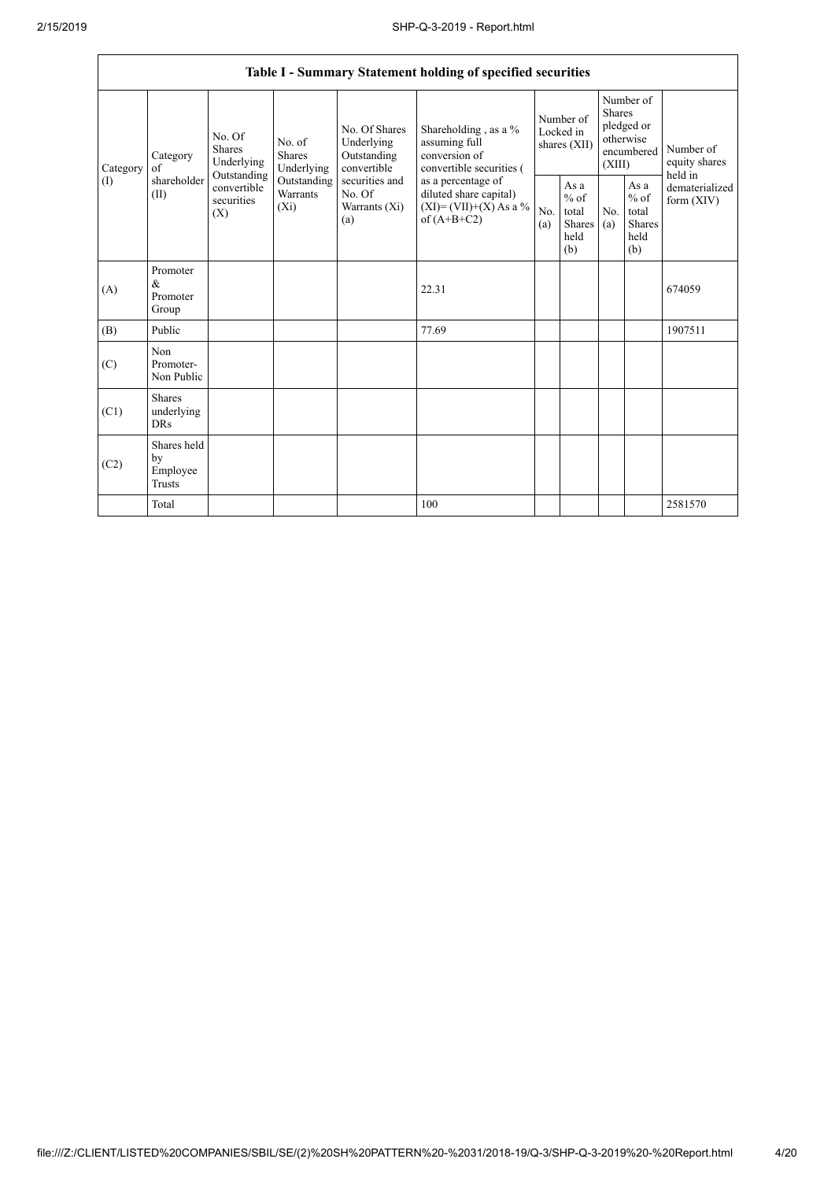|                               | Table I - Summary Statement holding of specified securities                                                         |                                    |                                                     |                                                                                            |                                                                                    |                                                  |            |                                                                               |                                |                                       |
|-------------------------------|---------------------------------------------------------------------------------------------------------------------|------------------------------------|-----------------------------------------------------|--------------------------------------------------------------------------------------------|------------------------------------------------------------------------------------|--------------------------------------------------|------------|-------------------------------------------------------------------------------|--------------------------------|---------------------------------------|
| Category<br>of<br>(1)<br>(II) | No. Of<br><b>Shares</b><br>Category<br>Underlying<br>Outstanding<br>shareholder<br>convertible<br>securities<br>(X) | No. of<br>Shares                   | Underlying                                          | No. Of Shares<br>Underlying<br>Outstanding<br>convertible                                  | Shareholding, as a %<br>assuming full<br>conversion of<br>convertible securities ( | Number of<br>Locked in<br>shares (XII)           |            | Number of<br><b>Shares</b><br>pledged or<br>otherwise<br>encumbered<br>(XIII) |                                | Number of<br>equity shares<br>held in |
|                               |                                                                                                                     | Outstanding<br>Warrants<br>$(X_i)$ | securities and<br>No. Of<br>Warrants $(X_i)$<br>(a) | as a percentage of<br>diluted share capital)<br>$(XI) = (VII)+(X) As a %$<br>of $(A+B+C2)$ | No.<br>(a)                                                                         | As a<br>$%$ of<br>total<br>Shares<br>held<br>(b) | No.<br>(a) | As a<br>$%$ of<br>total<br><b>Shares</b><br>held<br>(b)                       | dematerialized<br>form $(XIV)$ |                                       |
| (A)                           | Promoter<br>$\&$<br>Promoter<br>Group                                                                               |                                    |                                                     |                                                                                            | 22.31                                                                              |                                                  |            |                                                                               |                                | 674059                                |
| (B)                           | Public                                                                                                              |                                    |                                                     |                                                                                            | 77.69                                                                              |                                                  |            |                                                                               |                                | 1907511                               |
| (C)                           | Non<br>Promoter-<br>Non Public                                                                                      |                                    |                                                     |                                                                                            |                                                                                    |                                                  |            |                                                                               |                                |                                       |
| (C1)                          | Shares<br>underlying<br><b>DRs</b>                                                                                  |                                    |                                                     |                                                                                            |                                                                                    |                                                  |            |                                                                               |                                |                                       |
| (C2)                          | Shares held<br>by<br>Employee<br><b>Trusts</b>                                                                      |                                    |                                                     |                                                                                            |                                                                                    |                                                  |            |                                                                               |                                |                                       |
|                               | Total                                                                                                               |                                    |                                                     |                                                                                            | 100                                                                                |                                                  |            |                                                                               |                                | 2581570                               |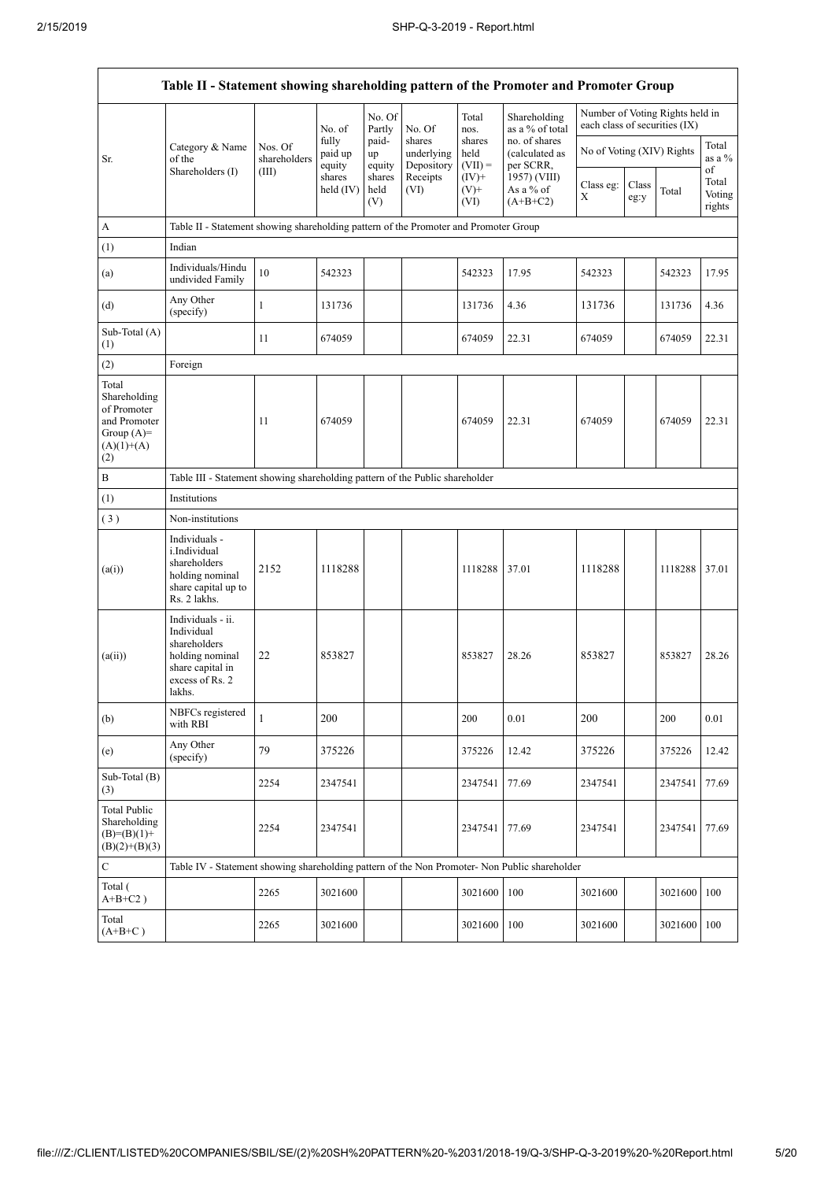$\mathsf{r}$ 

 $\overline{\phantom{a}}$ 

|                                                                                             | Table II - Statement showing shareholding pattern of the Promoter and Promoter Group                                |                                                                                      |                            |                       |                                    |                             |                                              |                               |               |                                 |                           |
|---------------------------------------------------------------------------------------------|---------------------------------------------------------------------------------------------------------------------|--------------------------------------------------------------------------------------|----------------------------|-----------------------|------------------------------------|-----------------------------|----------------------------------------------|-------------------------------|---------------|---------------------------------|---------------------------|
|                                                                                             |                                                                                                                     |                                                                                      | No. of                     | No. Of<br>Partly      | No. Of                             | Total<br>nos.               | Shareholding<br>as a % of total              | each class of securities (IX) |               | Number of Voting Rights held in |                           |
| Sr.                                                                                         | Category & Name<br>of the<br>Shareholders (I)                                                                       | Nos. Of<br>shareholders                                                              | fully<br>paid up<br>equity | paid-<br>up<br>equity | shares<br>underlying<br>Depository | shares<br>held<br>$(VII) =$ | no. of shares<br>(calculated as<br>per SCRR, | No of Voting (XIV) Rights     |               |                                 | Total<br>as a %<br>of     |
|                                                                                             |                                                                                                                     | (III)                                                                                | shares<br>held (IV)        | shares<br>held<br>(V) | Receipts<br>(VI)                   | $(IV)+$<br>$(V)^+$<br>(VI)  | 1957) (VIII)<br>As a $%$ of<br>$(A+B+C2)$    | Class eg:<br>X                | Class<br>eg:y | Total                           | Total<br>Voting<br>rights |
| A                                                                                           |                                                                                                                     | Table II - Statement showing shareholding pattern of the Promoter and Promoter Group |                            |                       |                                    |                             |                                              |                               |               |                                 |                           |
| (1)                                                                                         | Indian                                                                                                              |                                                                                      |                            |                       |                                    |                             |                                              |                               |               |                                 |                           |
| (a)                                                                                         | Individuals/Hindu<br>undivided Family                                                                               | 10                                                                                   | 542323                     |                       |                                    | 542323                      | 17.95                                        | 542323                        |               | 542323                          | 17.95                     |
| (d)                                                                                         | Any Other<br>(specify)                                                                                              | $\mathbf{1}$                                                                         | 131736                     |                       |                                    | 131736                      | 4.36                                         | 131736                        |               | 131736                          | 4.36                      |
| Sub-Total (A)<br>(1)                                                                        |                                                                                                                     | 11                                                                                   | 674059                     |                       |                                    | 674059                      | 22.31                                        | 674059                        |               | 674059                          | 22.31                     |
| (2)                                                                                         | Foreign                                                                                                             |                                                                                      |                            |                       |                                    |                             |                                              |                               |               |                                 |                           |
| Total<br>Shareholding<br>of Promoter<br>and Promoter<br>Group $(A)=$<br>$(A)(1)+(A)$<br>(2) |                                                                                                                     | 11                                                                                   | 674059                     |                       |                                    | 674059                      | 22.31                                        | 674059                        |               | 674059                          | 22.31                     |
| B                                                                                           |                                                                                                                     | Table III - Statement showing shareholding pattern of the Public shareholder         |                            |                       |                                    |                             |                                              |                               |               |                                 |                           |
| (1)                                                                                         | Institutions                                                                                                        |                                                                                      |                            |                       |                                    |                             |                                              |                               |               |                                 |                           |
| (3)                                                                                         | Non-institutions                                                                                                    |                                                                                      |                            |                       |                                    |                             |                                              |                               |               |                                 |                           |
| (a(i))                                                                                      | Individuals -<br>i.Individual<br>shareholders<br>holding nominal<br>share capital up to<br>Rs. 2 lakhs.             | 2152                                                                                 | 1118288                    |                       |                                    | 1118288                     | 37.01                                        | 1118288                       |               | 1118288                         | 37.01                     |
| (a(ii))                                                                                     | Individuals - ii.<br>Individual<br>shareholders<br>holding nominal<br>share capital in<br>excess of Rs. 2<br>lakhs. | 22                                                                                   | 853827                     |                       |                                    | 853827                      | 28.26                                        | 853827                        |               | 853827                          | 28.26                     |
| (b)                                                                                         | NBFCs registered<br>with RBI                                                                                        | 1                                                                                    | 200                        |                       |                                    | 200                         | 0.01                                         | 200                           |               | 200                             | 0.01                      |
| (e)                                                                                         | Any Other<br>(specify)                                                                                              | 79                                                                                   | 375226                     |                       |                                    | 375226                      | 12.42                                        | 375226                        |               | 375226                          | 12.42                     |
| Sub-Total (B)<br>(3)                                                                        |                                                                                                                     | 2254                                                                                 | 2347541                    |                       |                                    | 2347541                     | 77.69                                        | 2347541                       |               | 2347541                         | 77.69                     |
| <b>Total Public</b><br>Shareholding<br>$(B)=(B)(1)+$<br>$(B)(2)+(B)(3)$                     |                                                                                                                     | 2254                                                                                 | 2347541                    |                       |                                    | 2347541                     | 77.69                                        | 2347541                       |               | 2347541                         | 77.69                     |
| $\mathbf C$                                                                                 | Table IV - Statement showing shareholding pattern of the Non Promoter- Non Public shareholder                       |                                                                                      |                            |                       |                                    |                             |                                              |                               |               |                                 |                           |
| Total (<br>$A+B+C2$ )                                                                       |                                                                                                                     | 2265                                                                                 | 3021600                    |                       |                                    | 3021600                     | 100                                          | 3021600                       |               | 3021600                         | 100                       |
| Total<br>$(A+B+C)$                                                                          |                                                                                                                     | 2265                                                                                 | 3021600                    |                       |                                    | 3021600                     | 100                                          | 3021600                       |               | 3021600 100                     |                           |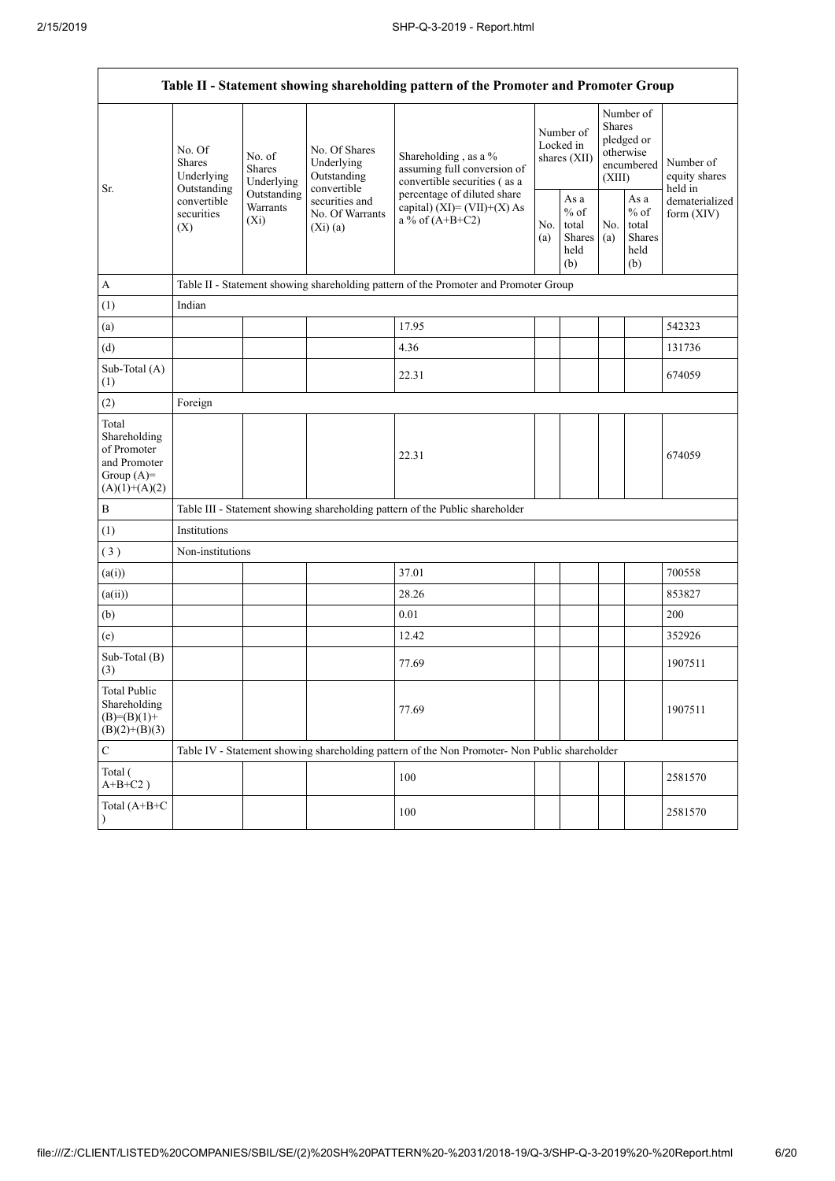$\mathbf{r}$ 

| Table II - Statement showing shareholding pattern of the Promoter and Promoter Group    |                                                 |                                       |                                                             |                                                                                                                                                                           |  |                                                  |            |                                                                               |                                       |
|-----------------------------------------------------------------------------------------|-------------------------------------------------|---------------------------------------|-------------------------------------------------------------|---------------------------------------------------------------------------------------------------------------------------------------------------------------------------|--|--------------------------------------------------|------------|-------------------------------------------------------------------------------|---------------------------------------|
| Sr.                                                                                     | No. Of<br><b>Shares</b><br>Underlying           | No. of<br><b>Shares</b><br>Underlying | No. Of Shares<br>Underlying<br>Outstanding                  | Shareholding, as a %<br>assuming full conversion of<br>convertible securities (as a<br>percentage of diluted share<br>capital) $(XI) = (VII)+(X) As$<br>a % of $(A+B+C2)$ |  | Number of<br>Locked in<br>shares (XII)           |            | Number of<br><b>Shares</b><br>pledged or<br>otherwise<br>encumbered<br>(XIII) | Number of<br>equity shares<br>held in |
|                                                                                         | Outstanding<br>convertible<br>securities<br>(X) | Outstanding<br>Warrants<br>$(X_i)$    | convertible<br>securities and<br>No. Of Warrants<br>(Xi)(a) |                                                                                                                                                                           |  | As a<br>$%$ of<br>total<br>Shares<br>held<br>(b) | No.<br>(a) | As a<br>$%$ of<br>total<br>Shares<br>held<br>(b)                              | dematerialized<br>form $(XIV)$        |
| $\boldsymbol{\mathsf{A}}$                                                               |                                                 |                                       |                                                             | Table II - Statement showing shareholding pattern of the Promoter and Promoter Group                                                                                      |  |                                                  |            |                                                                               |                                       |
| (1)                                                                                     | Indian                                          |                                       |                                                             |                                                                                                                                                                           |  |                                                  |            |                                                                               |                                       |
| (a)                                                                                     |                                                 |                                       |                                                             | 17.95                                                                                                                                                                     |  |                                                  |            |                                                                               | 542323                                |
| (d)                                                                                     |                                                 |                                       |                                                             | 4.36                                                                                                                                                                      |  |                                                  |            |                                                                               | 131736                                |
| Sub-Total (A)<br>(1)                                                                    |                                                 |                                       |                                                             | 22.31                                                                                                                                                                     |  |                                                  |            |                                                                               | 674059                                |
| (2)                                                                                     | Foreign                                         |                                       |                                                             |                                                                                                                                                                           |  |                                                  |            |                                                                               |                                       |
| Total<br>Shareholding<br>of Promoter<br>and Promoter<br>Group $(A)=$<br>$(A)(1)+(A)(2)$ |                                                 |                                       |                                                             | 22.31                                                                                                                                                                     |  |                                                  |            |                                                                               | 674059                                |
| $\, {\bf B}$                                                                            |                                                 |                                       |                                                             | Table III - Statement showing shareholding pattern of the Public shareholder                                                                                              |  |                                                  |            |                                                                               |                                       |
| (1)                                                                                     | Institutions                                    |                                       |                                                             |                                                                                                                                                                           |  |                                                  |            |                                                                               |                                       |
| (3)                                                                                     | Non-institutions                                |                                       |                                                             |                                                                                                                                                                           |  |                                                  |            |                                                                               |                                       |
| (a(i))                                                                                  |                                                 |                                       |                                                             | 37.01                                                                                                                                                                     |  |                                                  |            |                                                                               | 700558                                |
| (a(ii))                                                                                 |                                                 |                                       |                                                             | 28.26                                                                                                                                                                     |  |                                                  |            |                                                                               | 853827                                |
| (b)                                                                                     |                                                 |                                       |                                                             | 0.01                                                                                                                                                                      |  |                                                  |            |                                                                               | 200                                   |
| (e)                                                                                     |                                                 |                                       |                                                             | 12.42                                                                                                                                                                     |  |                                                  |            |                                                                               | 352926                                |
| Sub-Total (B)<br>(3)                                                                    |                                                 |                                       |                                                             | 77.69                                                                                                                                                                     |  |                                                  |            |                                                                               | 1907511                               |
| <b>Total Public</b><br>Shareholding<br>$(B)= (B)(1) +$<br>$(B)(2)+(B)(3)$               |                                                 |                                       |                                                             | 77.69                                                                                                                                                                     |  |                                                  |            |                                                                               | 1907511                               |
| $\mathbf C$                                                                             |                                                 |                                       |                                                             | Table IV - Statement showing shareholding pattern of the Non Promoter- Non Public shareholder                                                                             |  |                                                  |            |                                                                               |                                       |
| Total (<br>$A+B+C2$ )                                                                   |                                                 |                                       |                                                             | 100                                                                                                                                                                       |  |                                                  |            |                                                                               | 2581570                               |
| Total (A+B+C<br>$\lambda$                                                               |                                                 |                                       |                                                             | 100                                                                                                                                                                       |  |                                                  |            |                                                                               | 2581570                               |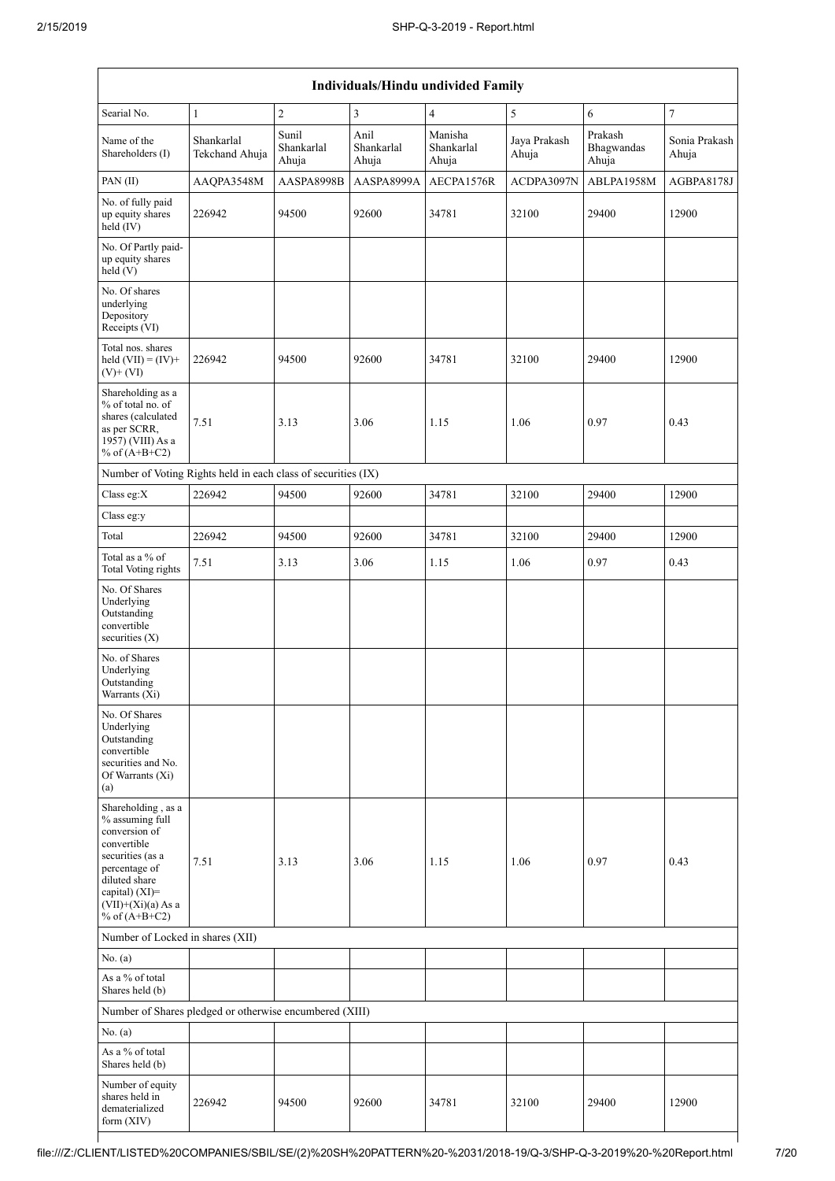| Individuals/Hindu undivided Family                                                                                                                                                       |                              |                              |                             |                                |                       |                                |                        |  |
|------------------------------------------------------------------------------------------------------------------------------------------------------------------------------------------|------------------------------|------------------------------|-----------------------------|--------------------------------|-----------------------|--------------------------------|------------------------|--|
| Searial No.                                                                                                                                                                              | $\mathbf{1}$                 | $\overline{c}$               | 3                           | $\overline{4}$                 | 5                     | $\sqrt{6}$                     | $\overline{7}$         |  |
| Name of the<br>Shareholders (I)                                                                                                                                                          | Shankarlal<br>Tekchand Ahuja | Sunil<br>Shankarlal<br>Ahuja | Anil<br>Shankarlal<br>Ahuja | Manisha<br>Shankarlal<br>Ahuja | Jaya Prakash<br>Ahuja | Prakash<br>Bhagwandas<br>Ahuja | Sonia Prakash<br>Ahuja |  |
| PAN(II)                                                                                                                                                                                  | AAQPA3548M                   | AASPA8998B                   | AASPA8999A                  | AECPA1576R                     | ACDPA3097N            | ABLPA1958M                     | AGBPA8178J             |  |
| No. of fully paid<br>up equity shares<br>$held$ (IV)                                                                                                                                     | 226942                       | 94500                        | 92600                       | 34781                          | 32100                 | 29400                          | 12900                  |  |
| No. Of Partly paid-<br>up equity shares<br>held(V)                                                                                                                                       |                              |                              |                             |                                |                       |                                |                        |  |
| No. Of shares<br>underlying<br>Depository<br>Receipts (VI)                                                                                                                               |                              |                              |                             |                                |                       |                                |                        |  |
| Total nos. shares<br>held $(VII) = (IV) +$<br>$(V)$ + $(VI)$                                                                                                                             | 226942                       | 94500                        | 92600                       | 34781                          | 32100                 | 29400                          | 12900                  |  |
| Shareholding as a<br>% of total no. of<br>shares (calculated<br>as per SCRR,<br>1957) (VIII) As a<br>% of $(A+B+C2)$                                                                     | 7.51                         | 3.13                         | 3.06                        | 1.15                           | 1.06                  | 0.97                           | 0.43                   |  |
| Number of Voting Rights held in each class of securities (IX)                                                                                                                            |                              |                              |                             |                                |                       |                                |                        |  |
| Class eg:X                                                                                                                                                                               | 226942                       | 94500                        | 92600                       | 34781                          | 32100                 | 29400                          | 12900                  |  |
| Class eg:y                                                                                                                                                                               |                              |                              |                             |                                |                       |                                |                        |  |
| Total                                                                                                                                                                                    | 226942                       | 94500                        | 92600                       | 34781                          | 32100                 | 29400                          | 12900                  |  |
| Total as a % of<br><b>Total Voting rights</b>                                                                                                                                            | 7.51                         | 3.13                         | 3.06                        | 1.15                           | 1.06                  | 0.97                           | 0.43                   |  |
| No. Of Shares<br>Underlying<br>Outstanding<br>convertible<br>securities (X)                                                                                                              |                              |                              |                             |                                |                       |                                |                        |  |
| No. of Shares<br>Underlying<br>Outstanding<br>Warrants (Xi)                                                                                                                              |                              |                              |                             |                                |                       |                                |                        |  |
| No. Of Shares<br>Underlying<br>Outstanding<br>convertible<br>securities and No.<br>Of Warrants (Xi)<br>(a)                                                                               |                              |                              |                             |                                |                       |                                |                        |  |
| Shareholding, as a<br>% assuming full<br>conversion of<br>convertible<br>securities (as a<br>percentage of<br>diluted share<br>capital) (XI)=<br>$(VII)+(Xi)(a)$ As a<br>% of $(A+B+C2)$ | 7.51                         | 3.13                         | 3.06                        | 1.15                           | 1.06                  | 0.97                           | 0.43                   |  |
| Number of Locked in shares (XII)                                                                                                                                                         |                              |                              |                             |                                |                       |                                |                        |  |
| No. (a)                                                                                                                                                                                  |                              |                              |                             |                                |                       |                                |                        |  |
| As a % of total<br>Shares held (b)                                                                                                                                                       |                              |                              |                             |                                |                       |                                |                        |  |
| Number of Shares pledged or otherwise encumbered (XIII)                                                                                                                                  |                              |                              |                             |                                |                       |                                |                        |  |
| No. (a)                                                                                                                                                                                  |                              |                              |                             |                                |                       |                                |                        |  |
| As a % of total<br>Shares held (b)                                                                                                                                                       |                              |                              |                             |                                |                       |                                |                        |  |
| Number of equity<br>shares held in<br>dematerialized<br>form $(XIV)$                                                                                                                     | 226942                       | 94500                        | 92600                       | 34781                          | 32100                 | 29400                          | 12900                  |  |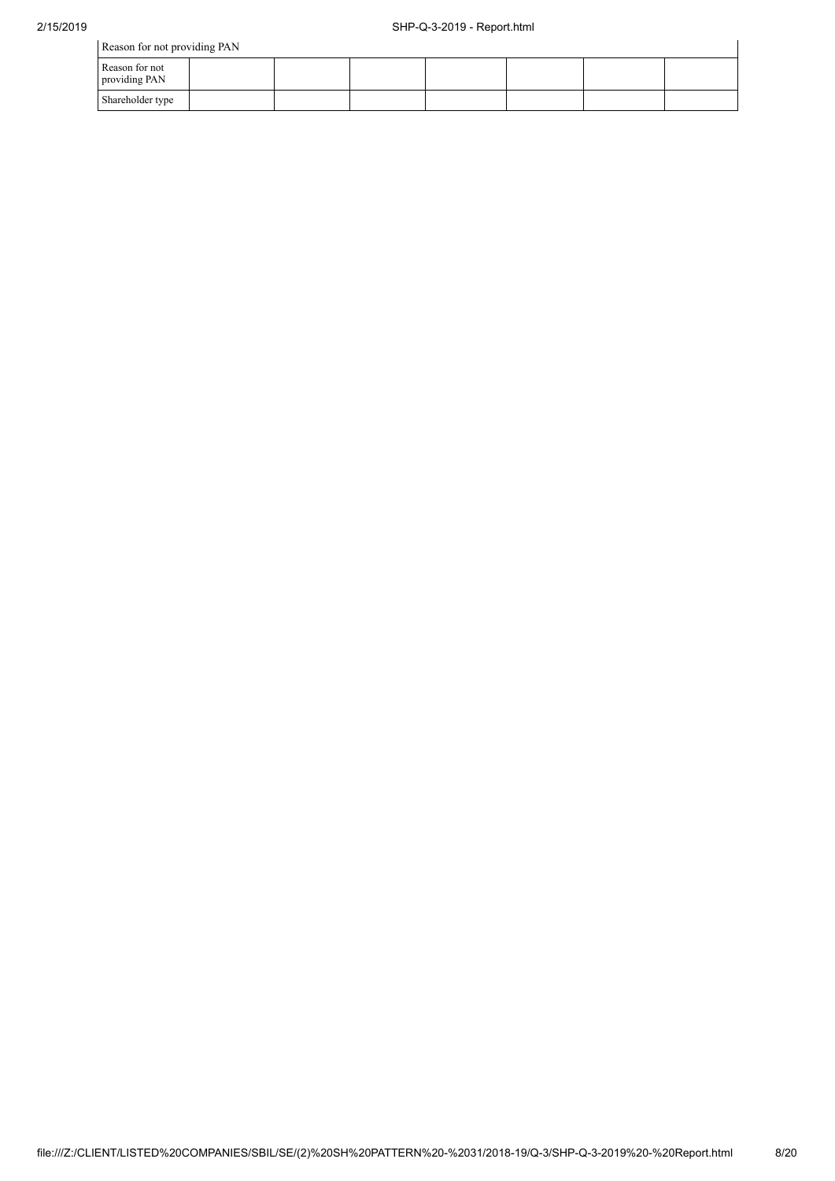$\overline{1}$ 

Reason for not providing PAN

| Reason for not<br>providing PAN |  |  |  |  |
|---------------------------------|--|--|--|--|
| Shareholder type                |  |  |  |  |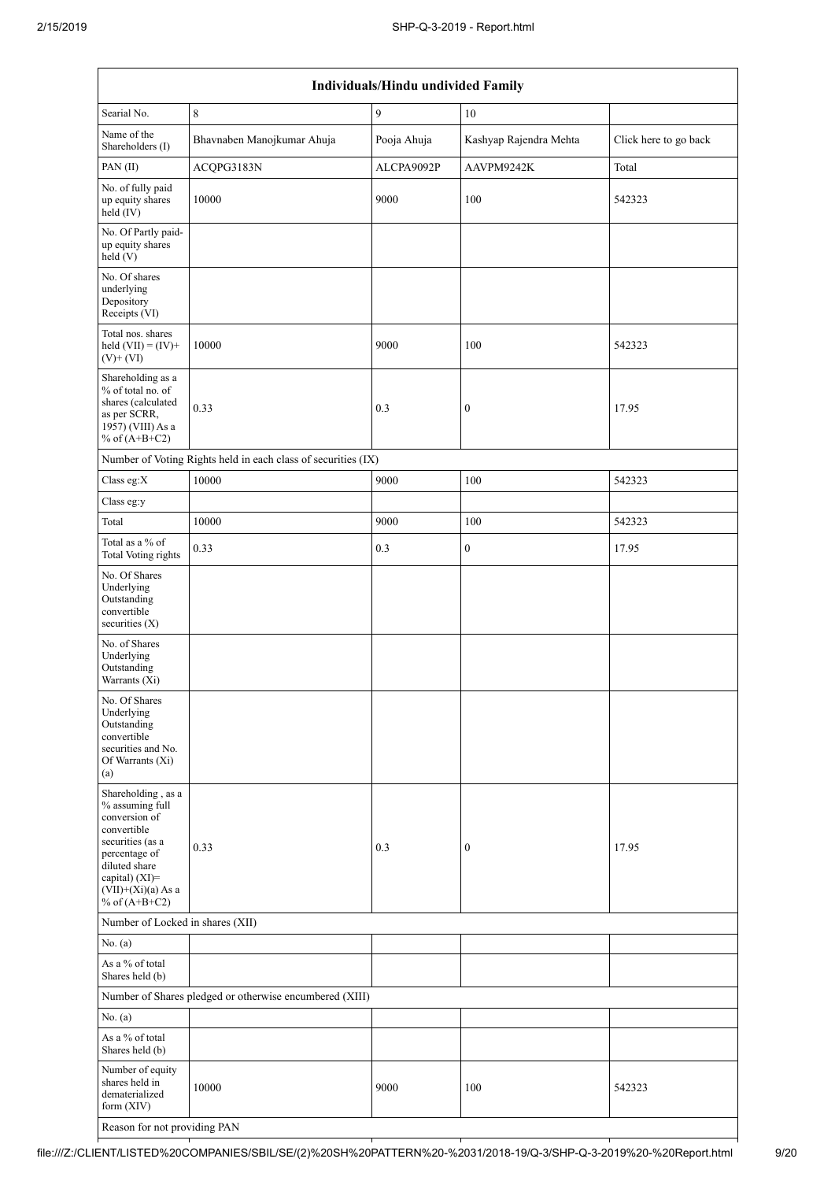| Individuals/Hindu undivided Family                                                                                                                                                          |                                                               |             |                        |                       |  |  |  |
|---------------------------------------------------------------------------------------------------------------------------------------------------------------------------------------------|---------------------------------------------------------------|-------------|------------------------|-----------------------|--|--|--|
| Searial No.                                                                                                                                                                                 | 8                                                             | 9           | 10                     |                       |  |  |  |
| Name of the<br>Shareholders (I)                                                                                                                                                             | Bhavnaben Manojkumar Ahuja                                    | Pooja Ahuja | Kashyap Rajendra Mehta | Click here to go back |  |  |  |
| PAN(II)                                                                                                                                                                                     | ACQPG3183N                                                    | ALCPA9092P  | AAVPM9242K             | Total                 |  |  |  |
| No. of fully paid<br>up equity shares<br>held (IV)                                                                                                                                          | 10000                                                         | 9000        | 100                    | 542323                |  |  |  |
| No. Of Partly paid-<br>up equity shares<br>held (V)                                                                                                                                         |                                                               |             |                        |                       |  |  |  |
| No. Of shares<br>underlying<br>Depository<br>Receipts (VI)                                                                                                                                  |                                                               |             |                        |                       |  |  |  |
| Total nos. shares<br>held $(VII) = (IV) +$<br>$(V)$ + $(VI)$                                                                                                                                | 10000                                                         | 9000        | 100                    | 542323                |  |  |  |
| Shareholding as a<br>% of total no. of<br>shares (calculated<br>as per SCRR,<br>1957) (VIII) As a<br>% of $(A+B+C2)$                                                                        | 0.33                                                          | 0.3         | $\boldsymbol{0}$       | 17.95                 |  |  |  |
|                                                                                                                                                                                             | Number of Voting Rights held in each class of securities (IX) |             |                        |                       |  |  |  |
| Class eg:X                                                                                                                                                                                  | 10000                                                         | 9000        | 100                    | 542323                |  |  |  |
| Class eg:y                                                                                                                                                                                  |                                                               |             |                        |                       |  |  |  |
| Total                                                                                                                                                                                       | 10000                                                         | 9000        | 100                    | 542323                |  |  |  |
| Total as a % of<br><b>Total Voting rights</b>                                                                                                                                               | 0.33                                                          | 0.3         | $\boldsymbol{0}$       | 17.95                 |  |  |  |
| No. Of Shares<br>Underlying<br>Outstanding<br>convertible<br>securities $(X)$                                                                                                               |                                                               |             |                        |                       |  |  |  |
| No. of Shares<br>Underlying<br>Outstanding<br>Warrants (Xi)                                                                                                                                 |                                                               |             |                        |                       |  |  |  |
| No. Of Shares<br>Underlying<br>Outstanding<br>convertible<br>securities and No.<br>Of Warrants (Xi)<br>(a)                                                                                  |                                                               |             |                        |                       |  |  |  |
| Shareholding, as a<br>% assuming full<br>conversion of<br>convertible<br>securities (as a<br>percentage of<br>diluted share<br>capital) $(XI)$ =<br>$(VII)+(Xi)(a)$ As a<br>% of $(A+B+C2)$ | 0.33                                                          | 0.3         | $\boldsymbol{0}$       | 17.95                 |  |  |  |
| Number of Locked in shares (XII)                                                                                                                                                            |                                                               |             |                        |                       |  |  |  |
| No. (a)                                                                                                                                                                                     |                                                               |             |                        |                       |  |  |  |
| As a % of total<br>Shares held (b)                                                                                                                                                          |                                                               |             |                        |                       |  |  |  |
|                                                                                                                                                                                             | Number of Shares pledged or otherwise encumbered (XIII)       |             |                        |                       |  |  |  |
| No. (a)                                                                                                                                                                                     |                                                               |             |                        |                       |  |  |  |
| As a % of total<br>Shares held (b)                                                                                                                                                          |                                                               |             |                        |                       |  |  |  |
| Number of equity<br>shares held in<br>dematerialized<br>form (XIV)                                                                                                                          | 10000                                                         | 9000        | 100                    | 542323                |  |  |  |
| Reason for not providing PAN                                                                                                                                                                |                                                               |             |                        |                       |  |  |  |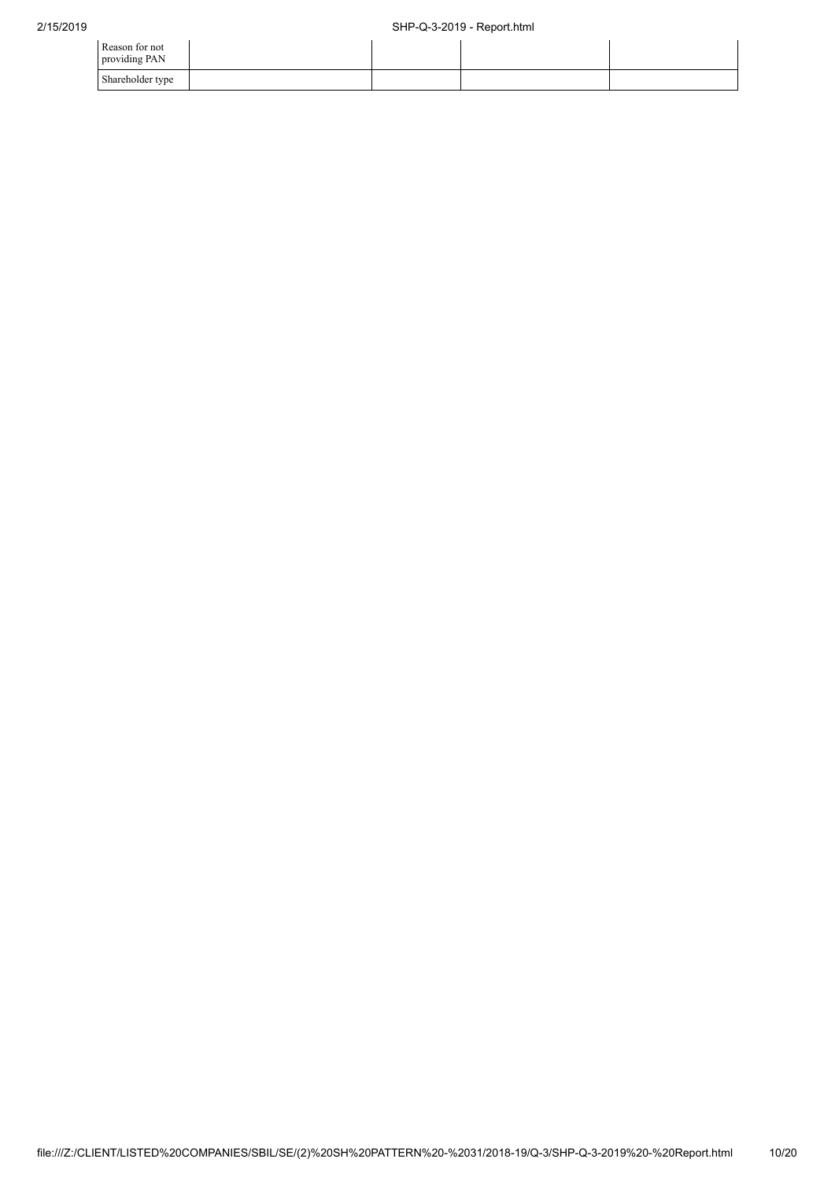| Reason for not<br>providing PAN |  |  |
|---------------------------------|--|--|
| Shareholder type                |  |  |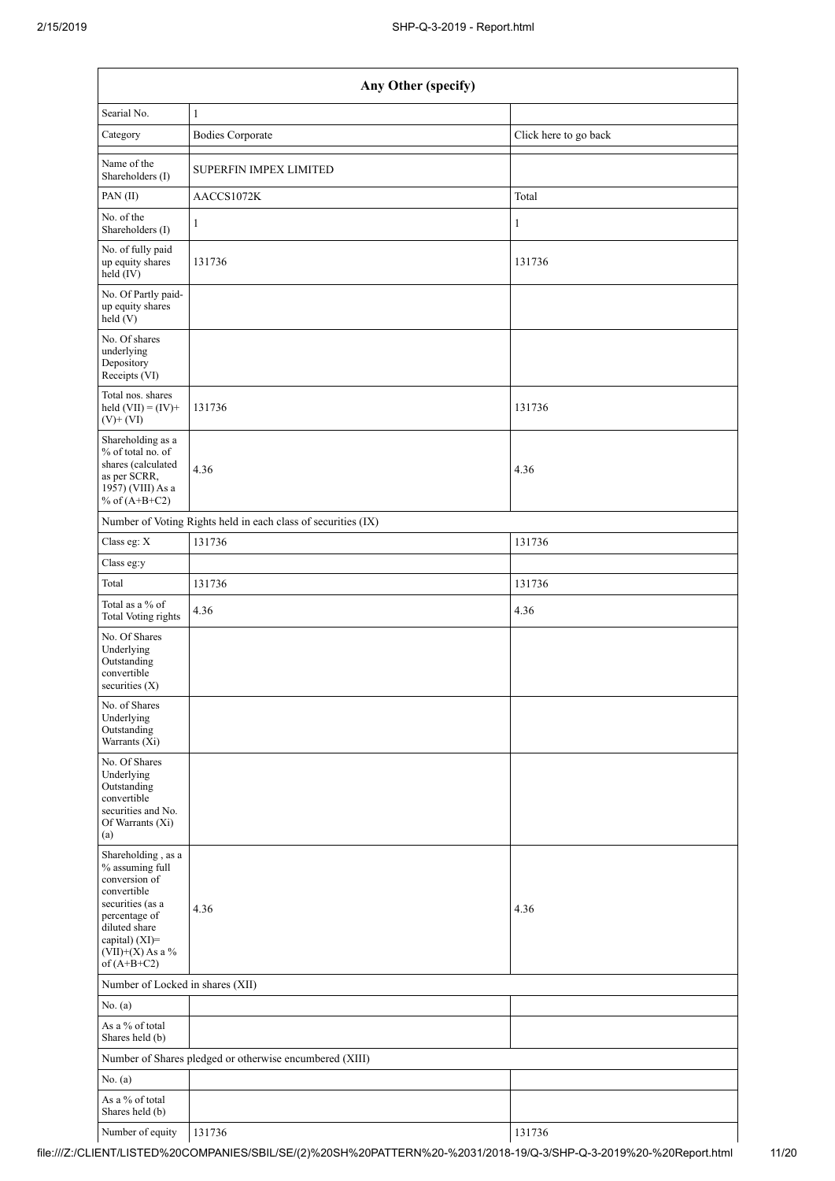|                                                                                                                                                                                      | Any Other (specify)                                     |                       |  |  |  |  |  |
|--------------------------------------------------------------------------------------------------------------------------------------------------------------------------------------|---------------------------------------------------------|-----------------------|--|--|--|--|--|
| Searial No.                                                                                                                                                                          | 1                                                       |                       |  |  |  |  |  |
| Category                                                                                                                                                                             | <b>Bodies Corporate</b>                                 | Click here to go back |  |  |  |  |  |
| Name of the<br>Shareholders (I)                                                                                                                                                      | <b>SUPERFIN IMPEX LIMITED</b>                           |                       |  |  |  |  |  |
| PAN(II)                                                                                                                                                                              | AACCS1072K                                              | Total                 |  |  |  |  |  |
| No. of the<br>Shareholders (I)                                                                                                                                                       | $\mathbf{1}$                                            | 1                     |  |  |  |  |  |
| No. of fully paid<br>up equity shares<br>held (IV)                                                                                                                                   | 131736                                                  | 131736                |  |  |  |  |  |
| No. Of Partly paid-<br>up equity shares<br>held (V)                                                                                                                                  |                                                         |                       |  |  |  |  |  |
| No. Of shares<br>underlying<br>Depository<br>Receipts (VI)                                                                                                                           |                                                         |                       |  |  |  |  |  |
| Total nos. shares<br>held $(VII) = (IV) +$<br>$(V)$ + $(VI)$                                                                                                                         | 131736                                                  | 131736                |  |  |  |  |  |
| Shareholding as a<br>% of total no. of<br>shares (calculated<br>as per SCRR,<br>1957) (VIII) As a<br>% of $(A+B+C2)$                                                                 | 4.36                                                    | 4.36                  |  |  |  |  |  |
| Number of Voting Rights held in each class of securities (IX)                                                                                                                        |                                                         |                       |  |  |  |  |  |
| Class eg: X                                                                                                                                                                          | 131736                                                  | 131736                |  |  |  |  |  |
| Class eg:y                                                                                                                                                                           |                                                         |                       |  |  |  |  |  |
| Total                                                                                                                                                                                | 131736                                                  | 131736                |  |  |  |  |  |
| Total as a % of<br><b>Total Voting rights</b>                                                                                                                                        | 4.36                                                    | 4.36                  |  |  |  |  |  |
| No. Of Shares<br>Underlying<br>Outstanding<br>convertible<br>securities $(X)$                                                                                                        |                                                         |                       |  |  |  |  |  |
| No. of Shares<br>Underlying<br>Outstanding<br>Warrants (Xi)                                                                                                                          |                                                         |                       |  |  |  |  |  |
| No. Of Shares<br>Underlying<br>Outstanding<br>convertible<br>securities and No.<br>Of Warrants (Xi)<br>(a)                                                                           |                                                         |                       |  |  |  |  |  |
| Shareholding, as a<br>% assuming full<br>conversion of<br>convertible<br>securities (as a<br>percentage of<br>diluted share<br>capital) (XI)=<br>$(VII)+(X)$ As a %<br>of $(A+B+C2)$ | 4.36                                                    | 4.36                  |  |  |  |  |  |
| Number of Locked in shares (XII)                                                                                                                                                     |                                                         |                       |  |  |  |  |  |
| No. (a)                                                                                                                                                                              |                                                         |                       |  |  |  |  |  |
| As a % of total<br>Shares held (b)                                                                                                                                                   |                                                         |                       |  |  |  |  |  |
|                                                                                                                                                                                      | Number of Shares pledged or otherwise encumbered (XIII) |                       |  |  |  |  |  |
| No. (a)                                                                                                                                                                              |                                                         |                       |  |  |  |  |  |
| As a % of total<br>Shares held (b)                                                                                                                                                   |                                                         |                       |  |  |  |  |  |
| Number of equity                                                                                                                                                                     | 131736                                                  | 131736                |  |  |  |  |  |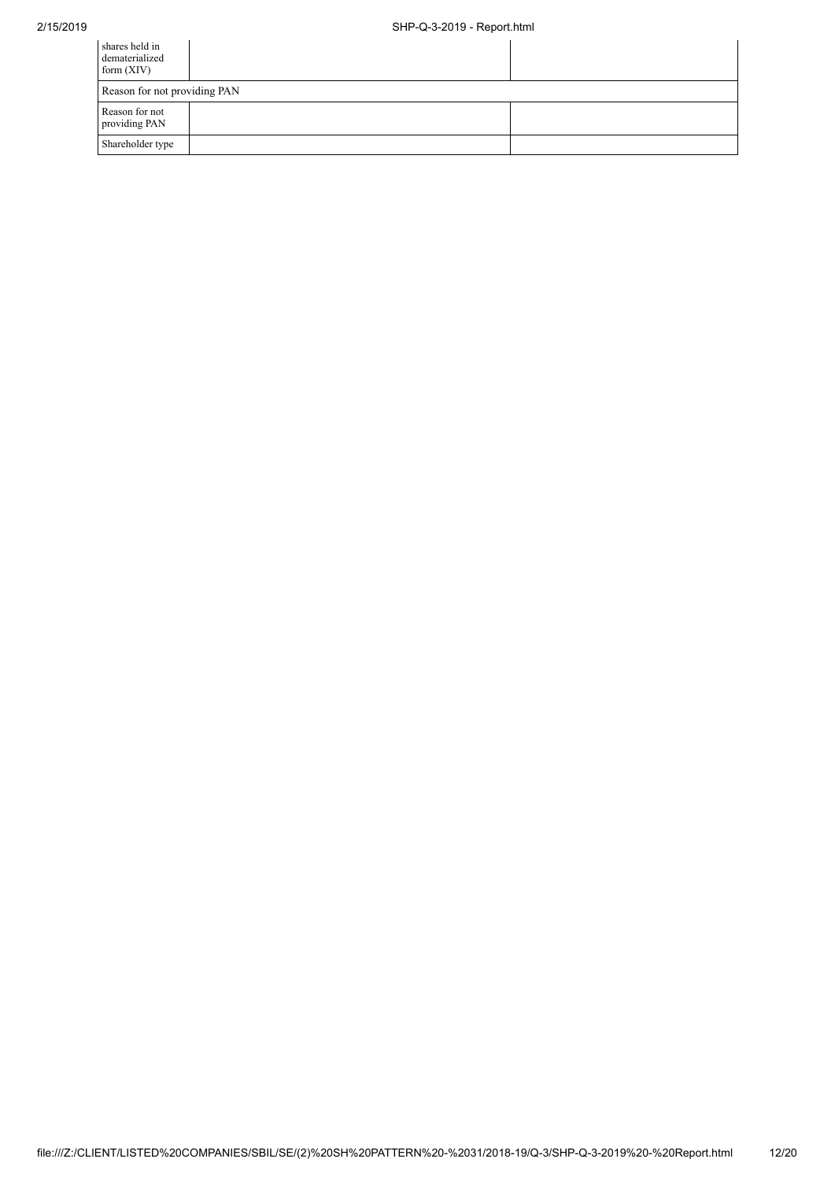## 2/15/2019 SHP-Q-3-2019 - Report.html

| shares held in<br>dematerialized<br>form $(XIV)$ |  |  |  |  |  |  |
|--------------------------------------------------|--|--|--|--|--|--|
| Reason for not providing PAN                     |  |  |  |  |  |  |
| Reason for not<br>providing PAN                  |  |  |  |  |  |  |
| Shareholder type                                 |  |  |  |  |  |  |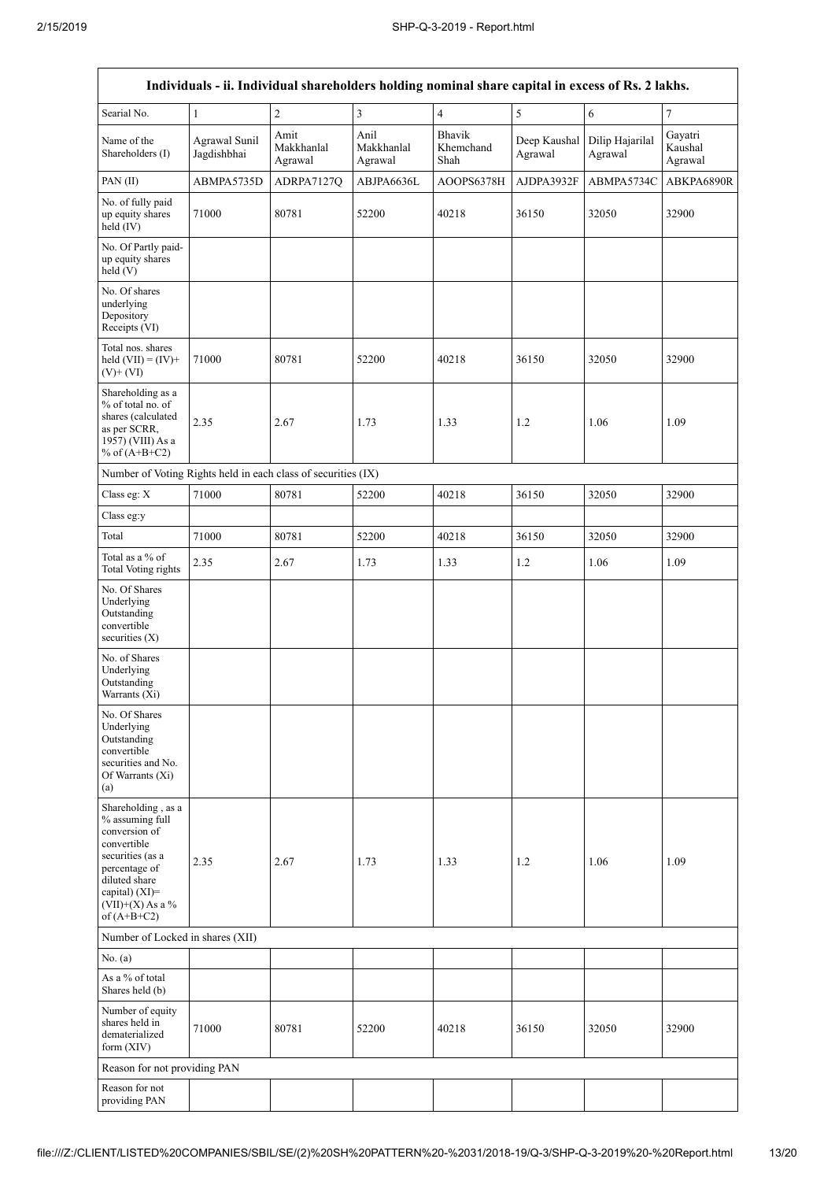$\overline{1}$ 

 $\overline{\mathsf{I}}$ 

| Individuals - ii. Individual shareholders holding nominal share capital in excess of Rs. 2 lakhs.                                                                                    |                              |                               |                               |                             |                         |                            |                               |
|--------------------------------------------------------------------------------------------------------------------------------------------------------------------------------------|------------------------------|-------------------------------|-------------------------------|-----------------------------|-------------------------|----------------------------|-------------------------------|
| Searial No.                                                                                                                                                                          | $\mathbf{1}$                 | $\sqrt{2}$                    | $\overline{\mathbf{3}}$       | $\overline{4}$              | 5                       | $\sqrt{6}$                 | $\boldsymbol{7}$              |
| Name of the<br>Shareholders (I)                                                                                                                                                      | Agrawal Sunil<br>Jagdishbhai | Amit<br>Makkhanlal<br>Agrawal | Anil<br>Makkhanlal<br>Agrawal | Bhavik<br>Khemchand<br>Shah | Deep Kaushal<br>Agrawal | Dilip Hajarilal<br>Agrawal | Gayatri<br>Kaushal<br>Agrawal |
| PAN(II)                                                                                                                                                                              | ABMPA5735D                   | ADRPA7127Q                    | ABJPA6636L                    | AOOPS6378H                  | AJDPA3932F              | ABMPA5734C                 | ABKPA6890R                    |
| No. of fully paid<br>up equity shares<br>held (IV)                                                                                                                                   | 71000                        | 80781                         | 52200                         | 40218                       | 36150                   | 32050                      | 32900                         |
| No. Of Partly paid-<br>up equity shares<br>held(V)                                                                                                                                   |                              |                               |                               |                             |                         |                            |                               |
| No. Of shares<br>underlying<br>Depository<br>Receipts (VI)                                                                                                                           |                              |                               |                               |                             |                         |                            |                               |
| Total nos. shares<br>held $(VII) = (IV) +$<br>$(V)$ + $(VI)$                                                                                                                         | 71000                        | 80781                         | 52200                         | 40218                       | 36150                   | 32050                      | 32900                         |
| Shareholding as a<br>% of total no. of<br>shares (calculated<br>as per SCRR,<br>1957) (VIII) As a<br>% of $(A+B+C2)$                                                                 | 2.35                         | 2.67                          | 1.73                          | 1.33                        | 1.2                     | 1.06                       | 1.09                          |
| Number of Voting Rights held in each class of securities (IX)                                                                                                                        |                              |                               |                               |                             |                         |                            |                               |
| Class eg: X                                                                                                                                                                          | 71000                        | 80781                         | 52200                         | 40218                       | 36150                   | 32050                      | 32900                         |
| Class eg:y                                                                                                                                                                           |                              |                               |                               |                             |                         |                            |                               |
| Total                                                                                                                                                                                | 71000                        | 80781                         | 52200                         | 40218                       | 36150                   | 32050                      | 32900                         |
| Total as a % of<br><b>Total Voting rights</b>                                                                                                                                        | 2.35                         | 2.67                          | 1.73                          | 1.33                        | 1.2                     | 1.06                       | 1.09                          |
| No. Of Shares<br>Underlying<br>Outstanding<br>convertible<br>securities $(X)$                                                                                                        |                              |                               |                               |                             |                         |                            |                               |
| No. of Shares<br>Underlying<br>Outstanding<br>Warrants (Xi)                                                                                                                          |                              |                               |                               |                             |                         |                            |                               |
| No. Of Shares<br>Underlying<br>Outstanding<br>convertible<br>securities and No.<br>Of Warrants (Xi)<br>(a)                                                                           |                              |                               |                               |                             |                         |                            |                               |
| Shareholding, as a<br>% assuming full<br>conversion of<br>convertible<br>securities (as a<br>percentage of<br>diluted share<br>capital) (XI)=<br>$(VII)+(X)$ As a %<br>of $(A+B+C2)$ | 2.35                         | 2.67                          | 1.73                          | 1.33                        | 1.2                     | 1.06                       | 1.09                          |
| Number of Locked in shares (XII)                                                                                                                                                     |                              |                               |                               |                             |                         |                            |                               |
| No. (a)                                                                                                                                                                              |                              |                               |                               |                             |                         |                            |                               |
| As a % of total<br>Shares held (b)                                                                                                                                                   |                              |                               |                               |                             |                         |                            |                               |
| Number of equity<br>shares held in<br>dematerialized<br>form $(XIV)$                                                                                                                 | 71000                        | 80781                         | 52200                         | 40218                       | 36150                   | 32050                      | 32900                         |
| Reason for not providing PAN                                                                                                                                                         |                              |                               |                               |                             |                         |                            |                               |
| Reason for not<br>providing PAN                                                                                                                                                      |                              |                               |                               |                             |                         |                            |                               |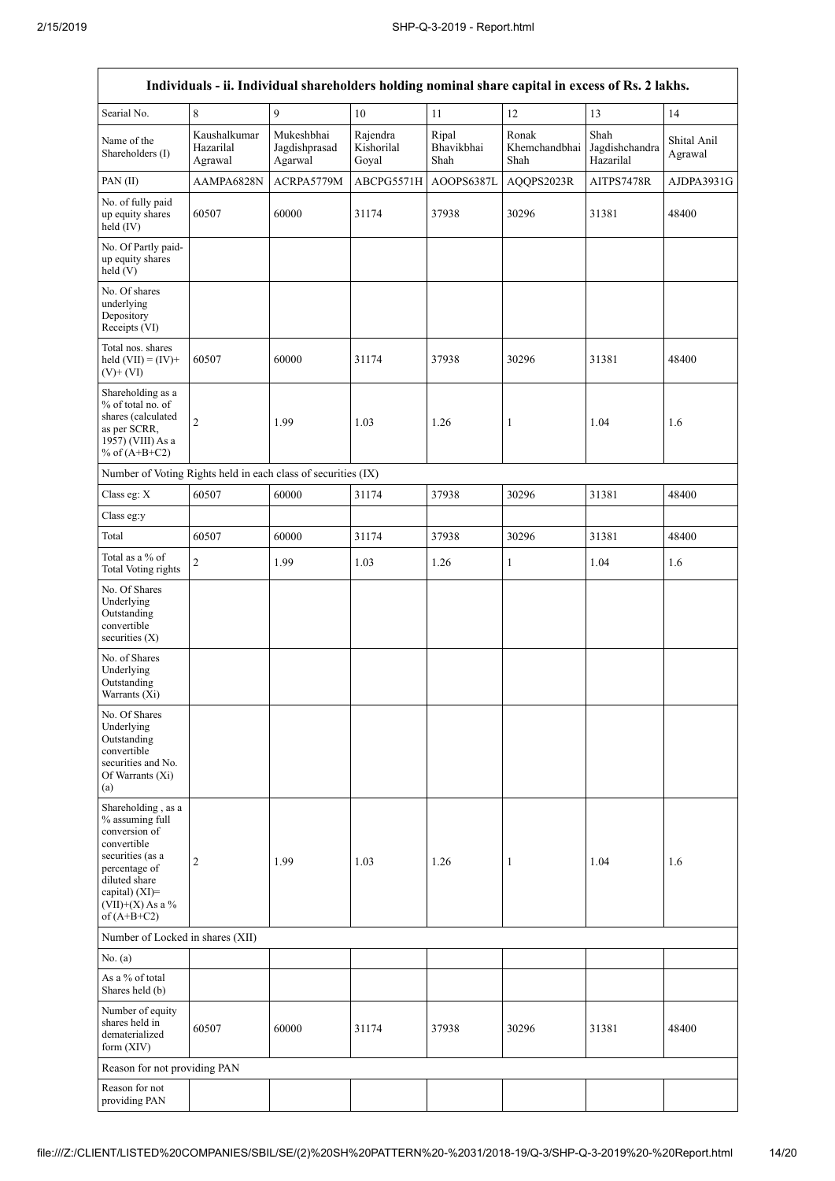$\overline{1}$ 

 $\overline{\mathsf{I}}$ 

| Individuals - ii. Individual shareholders holding nominal share capital in excess of Rs. 2 lakhs.                                                                                    |                                      |                                        |                                 |                             |                                |                                     |                        |
|--------------------------------------------------------------------------------------------------------------------------------------------------------------------------------------|--------------------------------------|----------------------------------------|---------------------------------|-----------------------------|--------------------------------|-------------------------------------|------------------------|
| Searial No.                                                                                                                                                                          | 8                                    | 9                                      | 10                              | 11                          | 12                             | 13                                  | 14                     |
| Name of the<br>Shareholders (I)                                                                                                                                                      | Kaushalkumar<br>Hazarilal<br>Agrawal | Mukeshbhai<br>Jagdishprasad<br>Agarwal | Rajendra<br>Kishorilal<br>Goyal | Ripal<br>Bhavikbhai<br>Shah | Ronak<br>Khemchandbhai<br>Shah | Shah<br>Jagdishchandra<br>Hazarilal | Shital Anil<br>Agrawal |
| PAN(II)                                                                                                                                                                              | AAMPA6828N                           | ACRPA5779M                             | ABCPG5571H                      | AOOPS6387L                  | AQQPS2023R                     | AITPS7478R                          | AJDPA3931G             |
| No. of fully paid<br>up equity shares<br>held (IV)                                                                                                                                   | 60507                                | 60000                                  | 31174                           | 37938                       | 30296                          | 31381                               | 48400                  |
| No. Of Partly paid-<br>up equity shares<br>held (V)                                                                                                                                  |                                      |                                        |                                 |                             |                                |                                     |                        |
| No. Of shares<br>underlying<br>Depository<br>Receipts (VI)                                                                                                                           |                                      |                                        |                                 |                             |                                |                                     |                        |
| Total nos. shares<br>held $(VII) = (IV) +$<br>$(V)$ + $(VI)$                                                                                                                         | 60507                                | 60000                                  | 31174                           | 37938                       | 30296                          | 31381                               | 48400                  |
| Shareholding as a<br>% of total no. of<br>shares (calculated<br>as per SCRR,<br>1957) (VIII) As a<br>% of $(A+B+C2)$                                                                 | $\overline{c}$                       | 1.99                                   | 1.03                            | 1.26                        | 1                              | 1.04                                | 1.6                    |
| Number of Voting Rights held in each class of securities (IX)                                                                                                                        |                                      |                                        |                                 |                             |                                |                                     |                        |
| Class eg: X                                                                                                                                                                          | 60507                                | 60000                                  | 31174                           | 37938                       | 30296                          | 31381                               | 48400                  |
| Class eg:y                                                                                                                                                                           |                                      |                                        |                                 |                             |                                |                                     |                        |
| Total                                                                                                                                                                                | 60507                                | 60000                                  | 31174                           | 37938                       | 30296                          | 31381                               | 48400                  |
| Total as a % of<br><b>Total Voting rights</b>                                                                                                                                        | $\overline{c}$                       | 1.99                                   | 1.03                            | 1.26                        | $\mathbf{1}$                   | 1.04                                | 1.6                    |
| No. Of Shares<br>Underlying<br>Outstanding<br>convertible<br>securities (X)                                                                                                          |                                      |                                        |                                 |                             |                                |                                     |                        |
| No. of Shares<br>Underlying<br>Outstanding<br>Warrants (Xi)                                                                                                                          |                                      |                                        |                                 |                             |                                |                                     |                        |
| No. Of Shares<br>Underlying<br>Outstanding<br>convertible<br>securities and No.<br>Of Warrants (Xi)<br>(a)                                                                           |                                      |                                        |                                 |                             |                                |                                     |                        |
| Shareholding, as a<br>% assuming full<br>conversion of<br>convertible<br>securities (as a<br>percentage of<br>diluted share<br>capital) (XI)=<br>$(VII)+(X)$ As a %<br>of $(A+B+C2)$ | 2                                    | 1.99                                   | 1.03                            | 1.26                        | 1                              | 1.04                                | 1.6                    |
|                                                                                                                                                                                      | Number of Locked in shares (XII)     |                                        |                                 |                             |                                |                                     |                        |
| No. (a)                                                                                                                                                                              |                                      |                                        |                                 |                             |                                |                                     |                        |
| As a % of total<br>Shares held (b)                                                                                                                                                   |                                      |                                        |                                 |                             |                                |                                     |                        |
| Number of equity<br>shares held in<br>dematerialized<br>form (XIV)                                                                                                                   | 60507                                | 60000                                  | 31174                           | 37938                       | 30296                          | 31381                               | 48400                  |
| Reason for not providing PAN                                                                                                                                                         |                                      |                                        |                                 |                             |                                |                                     |                        |
| Reason for not<br>providing PAN                                                                                                                                                      |                                      |                                        |                                 |                             |                                |                                     |                        |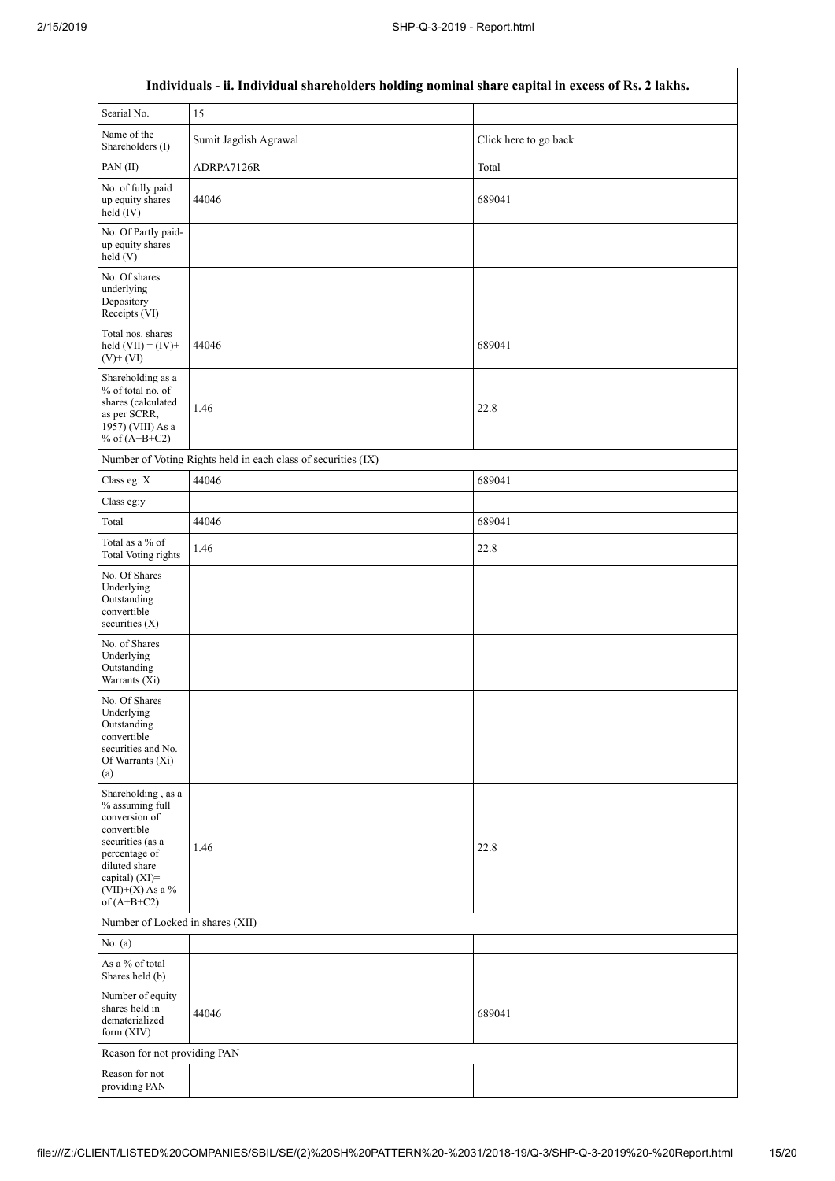$\Gamma$ 

٦

| Individuals - ii. Individual shareholders holding nominal share capital in excess of Rs. 2 lakhs.                                                                                    |                                                               |                       |  |  |  |  |
|--------------------------------------------------------------------------------------------------------------------------------------------------------------------------------------|---------------------------------------------------------------|-----------------------|--|--|--|--|
| Searial No.                                                                                                                                                                          | 15                                                            |                       |  |  |  |  |
| Name of the<br>Shareholders (I)                                                                                                                                                      | Sumit Jagdish Agrawal                                         | Click here to go back |  |  |  |  |
| PAN(II)                                                                                                                                                                              | ADRPA7126R                                                    | Total                 |  |  |  |  |
| No. of fully paid<br>up equity shares<br>held $(IV)$                                                                                                                                 | 44046                                                         | 689041                |  |  |  |  |
| No. Of Partly paid-<br>up equity shares<br>held (V)                                                                                                                                  |                                                               |                       |  |  |  |  |
| No. Of shares<br>underlying<br>Depository<br>Receipts (VI)                                                                                                                           |                                                               |                       |  |  |  |  |
| Total nos. shares<br>held $(VII) = (IV) +$<br>$(V)$ + $(VI)$                                                                                                                         | 44046                                                         | 689041                |  |  |  |  |
| Shareholding as a<br>% of total no. of<br>shares (calculated<br>as per SCRR,<br>1957) (VIII) As a<br>% of $(A+B+C2)$                                                                 | 1.46                                                          | 22.8                  |  |  |  |  |
|                                                                                                                                                                                      | Number of Voting Rights held in each class of securities (IX) |                       |  |  |  |  |
| Class eg: X                                                                                                                                                                          | 44046                                                         | 689041                |  |  |  |  |
| Class eg:y                                                                                                                                                                           |                                                               |                       |  |  |  |  |
| Total                                                                                                                                                                                | 44046                                                         | 689041                |  |  |  |  |
| Total as a % of<br><b>Total Voting rights</b>                                                                                                                                        | 1.46                                                          | 22.8                  |  |  |  |  |
| No. Of Shares<br>Underlying<br>Outstanding<br>convertible<br>securities $(X)$                                                                                                        |                                                               |                       |  |  |  |  |
| No. of Shares<br>Underlying<br>Outstanding<br>Warrants (Xi)                                                                                                                          |                                                               |                       |  |  |  |  |
| No. Of Shares<br>Underlying<br>Outstanding<br>convertible<br>securities and No.<br>Of Warrants (Xi)<br>(a)                                                                           |                                                               |                       |  |  |  |  |
| Shareholding, as a<br>% assuming full<br>conversion of<br>convertible<br>securities (as a<br>percentage of<br>diluted share<br>capital) (XI)=<br>$(VII)+(X)$ As a %<br>of $(A+B+C2)$ | 1.46                                                          | 22.8                  |  |  |  |  |
| Number of Locked in shares (XII)                                                                                                                                                     |                                                               |                       |  |  |  |  |
| No. (a)                                                                                                                                                                              |                                                               |                       |  |  |  |  |
| As a % of total<br>Shares held (b)                                                                                                                                                   |                                                               |                       |  |  |  |  |
| Number of equity<br>shares held in<br>dematerialized<br>form (XIV)                                                                                                                   | 44046                                                         | 689041                |  |  |  |  |
| Reason for not providing PAN                                                                                                                                                         |                                                               |                       |  |  |  |  |
| Reason for not<br>providing PAN                                                                                                                                                      |                                                               |                       |  |  |  |  |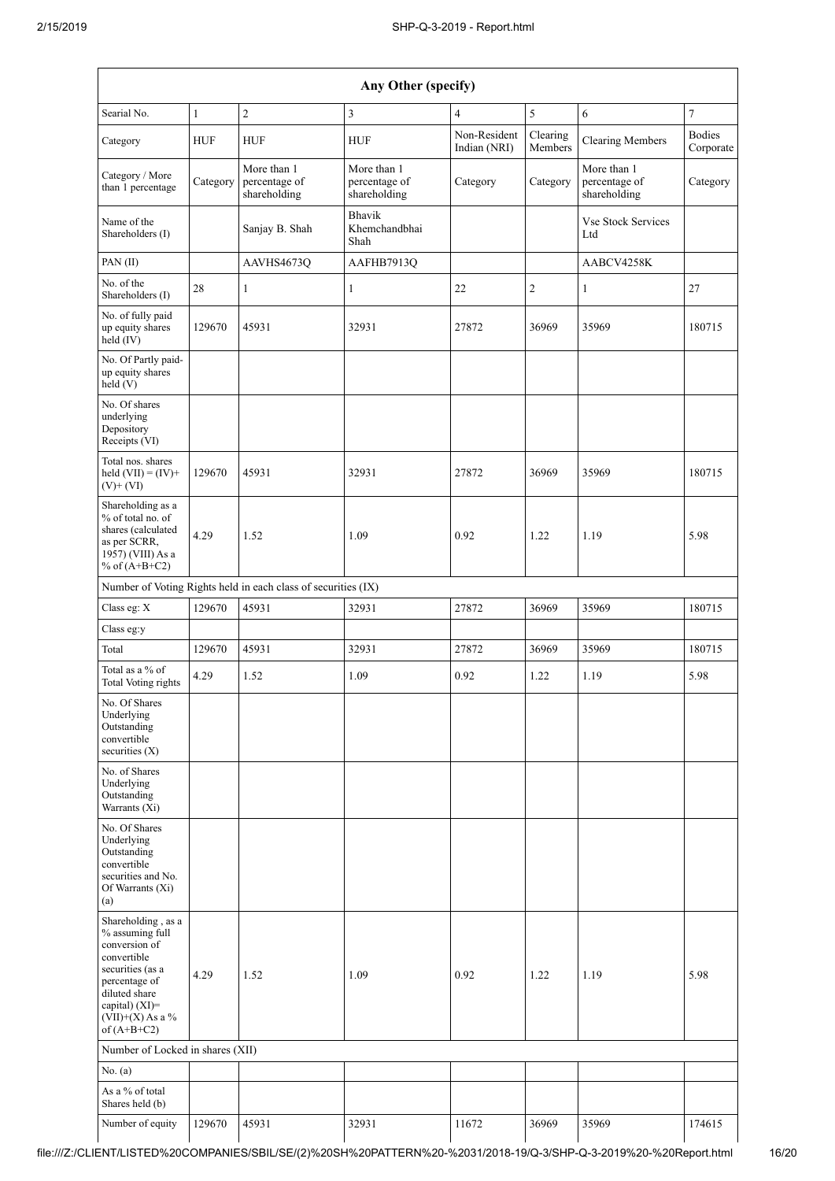| Any Other (specify)                                                                                                                                                                  |              |                                                               |                                              |                              |                     |                                              |                            |  |
|--------------------------------------------------------------------------------------------------------------------------------------------------------------------------------------|--------------|---------------------------------------------------------------|----------------------------------------------|------------------------------|---------------------|----------------------------------------------|----------------------------|--|
| Searial No.                                                                                                                                                                          | $\mathbf{1}$ | $\overline{2}$                                                | 3                                            | $\overline{4}$               | 5                   | 6                                            | $\overline{7}$             |  |
| Category                                                                                                                                                                             | <b>HUF</b>   | <b>HUF</b>                                                    | <b>HUF</b>                                   | Non-Resident<br>Indian (NRI) | Clearing<br>Members | <b>Clearing Members</b>                      | <b>Bodies</b><br>Corporate |  |
| Category / More<br>than 1 percentage                                                                                                                                                 | Category     | More than 1<br>percentage of<br>shareholding                  | More than 1<br>percentage of<br>shareholding | Category                     | Category            | More than 1<br>percentage of<br>shareholding | Category                   |  |
| Name of the<br>Shareholders (I)                                                                                                                                                      |              | Sanjay B. Shah                                                | <b>Bhavik</b><br>Khemchandbhai<br>Shah       |                              |                     | <b>Vse Stock Services</b><br>Ltd             |                            |  |
| PAN(II)                                                                                                                                                                              |              | AAVHS4673Q                                                    | AAFHB7913Q                                   |                              |                     | AABCV4258K                                   |                            |  |
| No. of the<br>Shareholders (I)                                                                                                                                                       | 28           | $\mathbf{1}$                                                  | $\mathbf{1}$                                 | 22                           | $\mathfrak{2}$      | $\mathbf{1}$                                 | 27                         |  |
| No. of fully paid<br>up equity shares<br>held (IV)                                                                                                                                   | 129670       | 45931                                                         | 32931                                        | 27872                        | 36969               | 35969                                        | 180715                     |  |
| No. Of Partly paid-<br>up equity shares<br>held (V)                                                                                                                                  |              |                                                               |                                              |                              |                     |                                              |                            |  |
| No. Of shares<br>underlying<br>Depository<br>Receipts (VI)                                                                                                                           |              |                                                               |                                              |                              |                     |                                              |                            |  |
| Total nos. shares<br>held $(VII) = (IV) +$<br>$(V)$ + $(VI)$                                                                                                                         | 129670       | 45931                                                         | 32931                                        | 27872                        | 36969               | 35969                                        | 180715                     |  |
| Shareholding as a<br>% of total no. of<br>shares (calculated<br>as per SCRR,<br>1957) (VIII) As a<br>% of $(A+B+C2)$                                                                 | 4.29         | 1.52                                                          | 1.09                                         | 0.92                         | 1.22                | 1.19                                         | 5.98                       |  |
|                                                                                                                                                                                      |              | Number of Voting Rights held in each class of securities (IX) |                                              |                              |                     |                                              |                            |  |
| Class eg: X                                                                                                                                                                          | 129670       | 45931                                                         | 32931                                        | 27872                        | 36969               | 35969                                        | 180715                     |  |
| Class eg:y                                                                                                                                                                           |              |                                                               |                                              |                              |                     |                                              |                            |  |
| Total                                                                                                                                                                                | 129670       | 45931                                                         | 32931                                        | 27872                        | 36969               | 35969                                        | 180715                     |  |
| Total as a % of<br><b>Total Voting rights</b>                                                                                                                                        | 4.29         | 1.52                                                          | 1.09                                         | 0.92                         | 1.22                | 1.19                                         | 5.98                       |  |
| No. Of Shares<br>Underlying<br>Outstanding<br>convertible<br>securities (X)                                                                                                          |              |                                                               |                                              |                              |                     |                                              |                            |  |
| No. of Shares<br>Underlying<br>Outstanding<br>Warrants (Xi)                                                                                                                          |              |                                                               |                                              |                              |                     |                                              |                            |  |
| No. Of Shares<br>Underlying<br>Outstanding<br>convertible<br>securities and No.<br>Of Warrants (Xi)<br>(a)                                                                           |              |                                                               |                                              |                              |                     |                                              |                            |  |
| Shareholding, as a<br>% assuming full<br>conversion of<br>convertible<br>securities (as a<br>percentage of<br>diluted share<br>capital) (XI)=<br>$(VII)+(X)$ As a %<br>of $(A+B+C2)$ | 4.29         | 1.52                                                          | 1.09                                         | 0.92                         | 1.22                | 1.19                                         | 5.98                       |  |
| Number of Locked in shares (XII)                                                                                                                                                     |              |                                                               |                                              |                              |                     |                                              |                            |  |
| No. (a)                                                                                                                                                                              |              |                                                               |                                              |                              |                     |                                              |                            |  |
| As a % of total<br>Shares held (b)                                                                                                                                                   |              |                                                               |                                              |                              |                     |                                              |                            |  |
| Number of equity                                                                                                                                                                     | 129670       | 45931                                                         | 32931                                        | 11672                        | 36969               | 35969                                        | 174615                     |  |

 $\mathbf{I}$ 

H

 $\perp$ 

 $\overline{\phantom{a}}$ 

 $\mathbf{I}$ 

 $\overline{\phantom{a}}$ 

 $\mathbf{I}$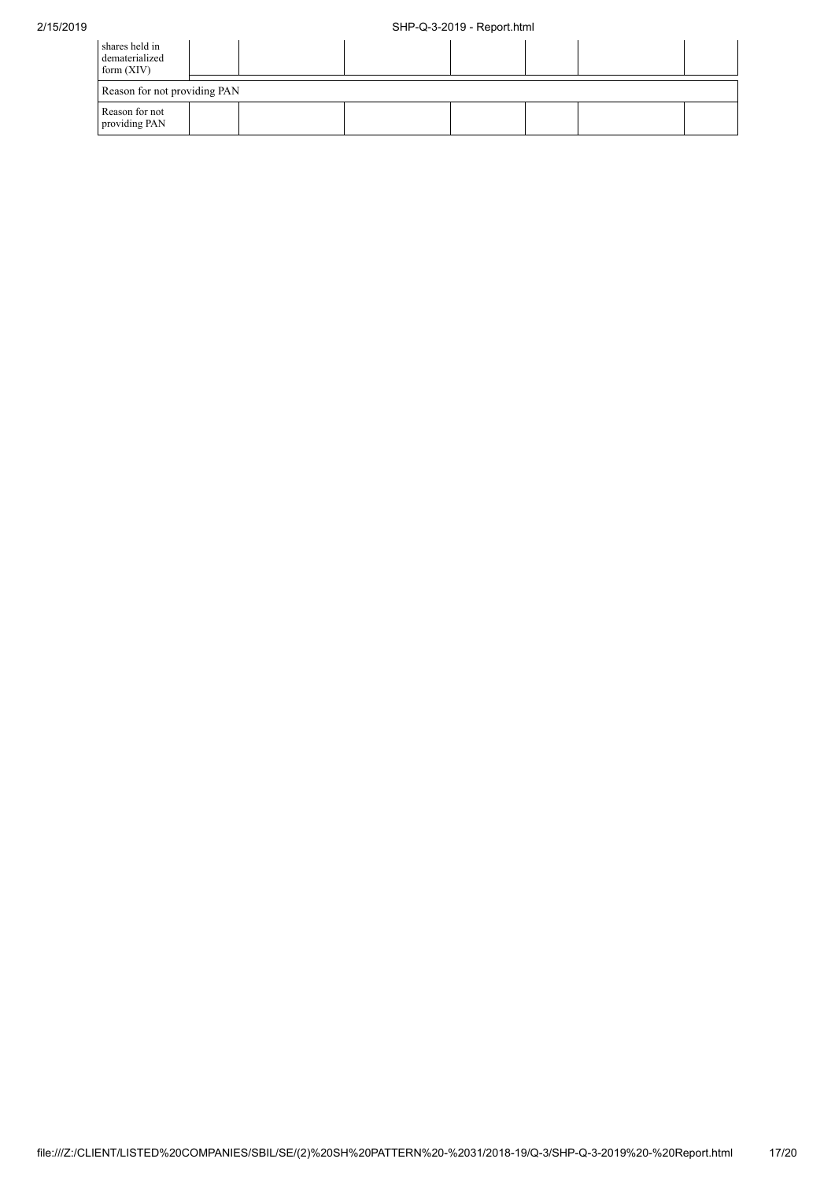| shares held in<br>dematerialized<br>form $(XIV)$ |  |  |  |  |
|--------------------------------------------------|--|--|--|--|
| Reason for not providing PAN                     |  |  |  |  |
| Reason for not<br>providing PAN                  |  |  |  |  |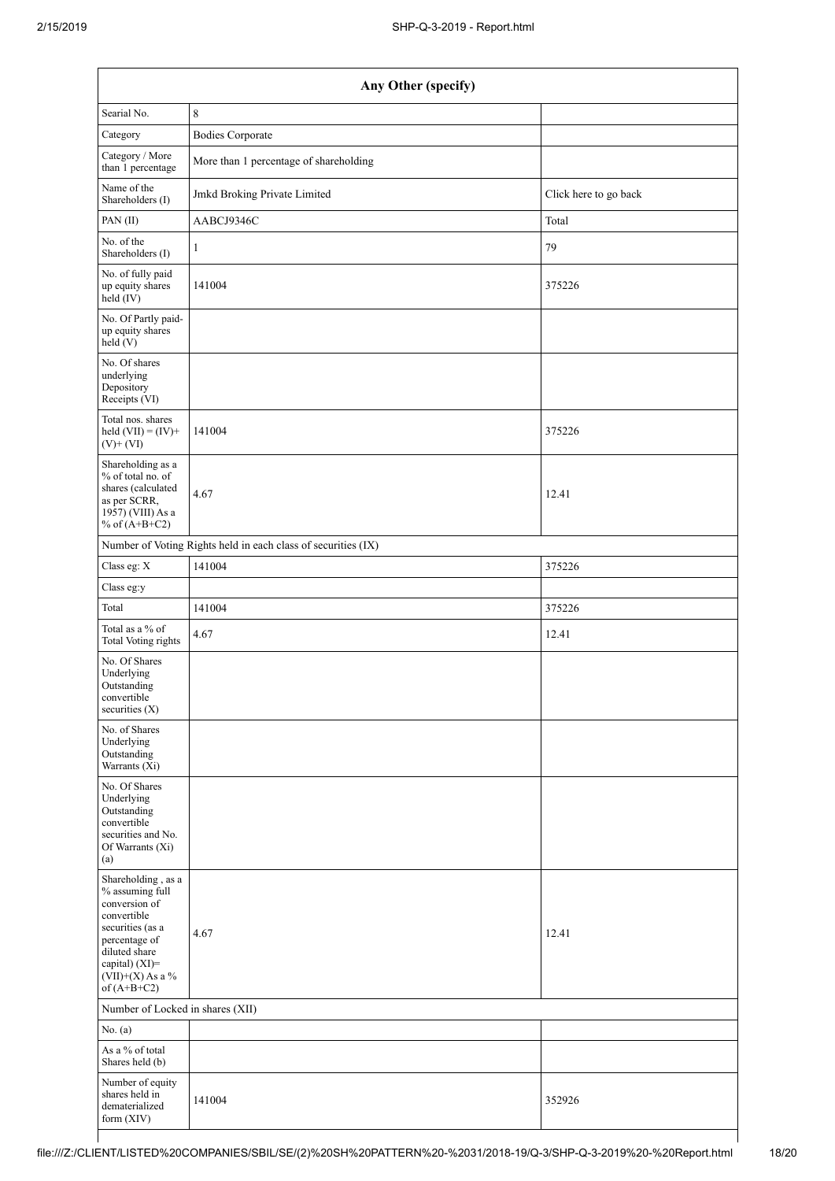| Any Other (specify)                                                                                                                                                                  |                                                               |                       |  |  |  |  |
|--------------------------------------------------------------------------------------------------------------------------------------------------------------------------------------|---------------------------------------------------------------|-----------------------|--|--|--|--|
| Searial No.                                                                                                                                                                          | $\,8\,$                                                       |                       |  |  |  |  |
| Category                                                                                                                                                                             | <b>Bodies Corporate</b>                                       |                       |  |  |  |  |
| Category / More<br>than 1 percentage                                                                                                                                                 | More than 1 percentage of shareholding                        |                       |  |  |  |  |
| Name of the<br>Shareholders (I)                                                                                                                                                      | Jmkd Broking Private Limited                                  | Click here to go back |  |  |  |  |
| PAN(II)                                                                                                                                                                              | AABCJ9346C                                                    | Total                 |  |  |  |  |
| No. of the<br>Shareholders (I)                                                                                                                                                       | 1                                                             | 79                    |  |  |  |  |
| No. of fully paid<br>up equity shares<br>held (IV)                                                                                                                                   | 141004                                                        | 375226                |  |  |  |  |
| No. Of Partly paid-<br>up equity shares<br>held (V)                                                                                                                                  |                                                               |                       |  |  |  |  |
| No. Of shares<br>underlying<br>Depository<br>Receipts (VI)                                                                                                                           |                                                               |                       |  |  |  |  |
| Total nos. shares<br>held $(VII) = (IV) +$<br>$(V)$ + $(VI)$                                                                                                                         | 141004                                                        | 375226                |  |  |  |  |
| Shareholding as a<br>% of total no. of<br>shares (calculated<br>as per SCRR,<br>1957) (VIII) As a<br>% of $(A+B+C2)$                                                                 | 4.67                                                          | 12.41                 |  |  |  |  |
|                                                                                                                                                                                      | Number of Voting Rights held in each class of securities (IX) |                       |  |  |  |  |
| Class eg: X                                                                                                                                                                          | 141004                                                        | 375226                |  |  |  |  |
| Class eg:y                                                                                                                                                                           |                                                               |                       |  |  |  |  |
| Total                                                                                                                                                                                | 141004                                                        | 375226                |  |  |  |  |
| Total as a % of<br><b>Total Voting rights</b>                                                                                                                                        | 4.67                                                          | 12.41                 |  |  |  |  |
| No. Of Shares<br>Underlying<br>Outstanding<br>convertible<br>securities $(X)$                                                                                                        |                                                               |                       |  |  |  |  |
| No. of Shares<br>Underlying<br>Outstanding<br>Warrants (Xi)                                                                                                                          |                                                               |                       |  |  |  |  |
| No. Of Shares<br>Underlying<br>Outstanding<br>convertible<br>securities and No.<br>Of Warrants (Xi)<br>(a)                                                                           |                                                               |                       |  |  |  |  |
| Shareholding, as a<br>% assuming full<br>conversion of<br>convertible<br>securities (as a<br>percentage of<br>diluted share<br>capital) (XI)=<br>$(VII)+(X)$ As a %<br>of $(A+B+C2)$ | 4.67                                                          | 12.41                 |  |  |  |  |
| Number of Locked in shares (XII)                                                                                                                                                     |                                                               |                       |  |  |  |  |
| No. (a)                                                                                                                                                                              |                                                               |                       |  |  |  |  |
| As a $\%$ of total<br>Shares held (b)                                                                                                                                                |                                                               |                       |  |  |  |  |
| Number of equity<br>shares held in<br>dematerialized<br>form $(XIV)$                                                                                                                 | 141004                                                        | 352926                |  |  |  |  |